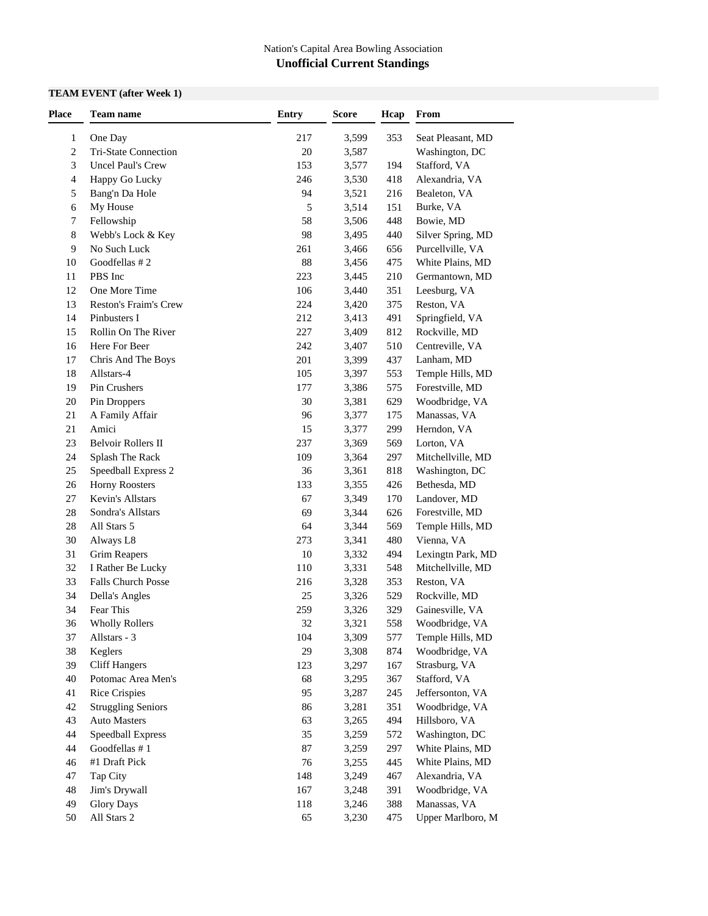### **TEAM EVENT (after Week 1)**

| Place          | <b>Team name</b>                     | <b>Entry</b> | <b>Score</b>   | Hcap       | From                                |
|----------------|--------------------------------------|--------------|----------------|------------|-------------------------------------|
| 1              | One Day                              | 217          | 3,599          | 353        | Seat Pleasant, MD                   |
| $\overline{c}$ | Tri-State Connection                 | 20           | 3,587          |            | Washington, DC                      |
| 3              | <b>Uncel Paul's Crew</b>             | 153          | 3,577          | 194        | Stafford, VA                        |
| 4              | Happy Go Lucky                       | 246          | 3,530          | 418        | Alexandria, VA                      |
| 5              | Bang'n Da Hole                       | 94           | 3,521          | 216        | Bealeton, VA                        |
| 6              | My House                             | 5            | 3,514          | 151        | Burke, VA                           |
| 7              | Fellowship                           | 58           | 3,506          | 448        | Bowie, MD                           |
| 8              | Webb's Lock & Key                    | 98           | 3,495          | 440        | Silver Spring, MD                   |
| 9              | No Such Luck                         | 261          | 3,466          | 656        | Purcellville, VA                    |
| 10             | Goodfellas #2                        | 88           | 3,456          | 475        | White Plains, MD                    |
| 11             | PBS Inc                              | 223          | 3,445          | 210        | Germantown, MD                      |
| 12             | One More Time                        | 106          | 3,440          | 351        | Leesburg, VA                        |
| 13             | Reston's Fraim's Crew                | 224          | 3,420          | 375        | Reston, VA                          |
| 14             | Pinbusters I                         | 212          | 3,413          | 491        | Springfield, VA                     |
|                |                                      |              |                |            |                                     |
| 15             | Rollin On The River<br>Here For Beer | 227<br>242   | 3,409<br>3,407 | 812<br>510 | Rockville, MD<br>Centreville, VA    |
| 16<br>17       | Chris And The Boys                   | 201          | 3,399          | 437        | Lanham, MD                          |
|                |                                      |              |                |            |                                     |
| 18             | Allstars-4<br>Pin Crushers           | 105          | 3,397          | 553        | Temple Hills, MD<br>Forestville, MD |
| 19             |                                      | 177          | 3,386          | 575        |                                     |
| 20             | Pin Droppers                         | 30           | 3,381          | 629        | Woodbridge, VA                      |
| 21             | A Family Affair                      | 96           | 3,377          | 175        | Manassas, VA                        |
| 21             | Amici                                | 15           | 3,377          | 299        | Herndon, VA                         |
| 23             | <b>Belvoir Rollers II</b>            | 237          | 3,369          | 569        | Lorton, VA                          |
| 24             | Splash The Rack                      | 109          | 3,364          | 297        | Mitchellville, MD                   |
| 25             | Speedball Express 2                  | 36           | 3,361          | 818        | Washington, DC                      |
| 26             | <b>Horny Roosters</b>                | 133          | 3,355          | 426        | Bethesda, MD                        |
| 27             | Kevin's Allstars                     | 67           | 3,349          | 170        | Landover, MD                        |
| 28             | Sondra's Allstars                    | 69           | 3,344          | 626        | Forestville, MD                     |
| 28             | All Stars 5                          | 64           | 3,344          | 569        | Temple Hills, MD                    |
| $30\,$         | Always L8                            | 273          | 3,341          | 480        | Vienna, VA                          |
| 31             | <b>Grim Reapers</b>                  | 10           | 3,332          | 494        | Lexingtn Park, MD                   |
| 32             | I Rather Be Lucky                    | 110          | 3,331          | 548        | Mitchellville, MD                   |
| 33             | Falls Church Posse                   | 216          | 3,328          | 353        | Reston, VA                          |
| 34             | Della's Angles                       | $25\,$       | 3,326          | 529        | Rockville, MD                       |
| 34             | Fear This                            | 259          | 3,326          | 329        | Gainesville, VA                     |
| 36             | <b>Wholly Rollers</b>                | 32           | 3,321          | 558        | Woodbridge, VA                      |
| 37             | Allstars - 3                         | 104          | 3,309          | 577        | Temple Hills, MD                    |
| 38             | Keglers                              | 29           | 3,308          | 874        | Woodbridge, VA                      |
| 39             | <b>Cliff Hangers</b>                 | 123          | 3,297          | 167        | Strasburg, VA                       |
| 40             | Potomac Area Men's                   | 68           | 3,295          | 367        | Stafford, VA                        |
| 41             | <b>Rice Crispies</b>                 | 95           | 3,287          | 245        | Jeffersonton, VA                    |
| 42             | <b>Struggling Seniors</b>            | 86           | 3,281          | 351        | Woodbridge, VA                      |
| 43             | <b>Auto Masters</b>                  | 63           | 3,265          | 494        | Hillsboro, VA                       |
| 44             | Speedball Express                    | 35           | 3,259          | 572        | Washington, DC                      |
| 44             | Goodfellas #1                        | 87           | 3,259          | 297        | White Plains, MD                    |
| 46             | #1 Draft Pick                        | 76           | 3,255          | 445        | White Plains, MD                    |
| 47             | Tap City                             | 148          | 3,249          | 467        | Alexandria, VA                      |
| 48             | Jim's Drywall                        | 167          | 3,248          | 391        | Woodbridge, VA                      |
| 49             | <b>Glory Days</b>                    | 118          | 3,246          | 388        | Manassas, VA                        |
| 50             | All Stars 2                          | 65           | 3,230          | 475        | Upper Marlboro, M                   |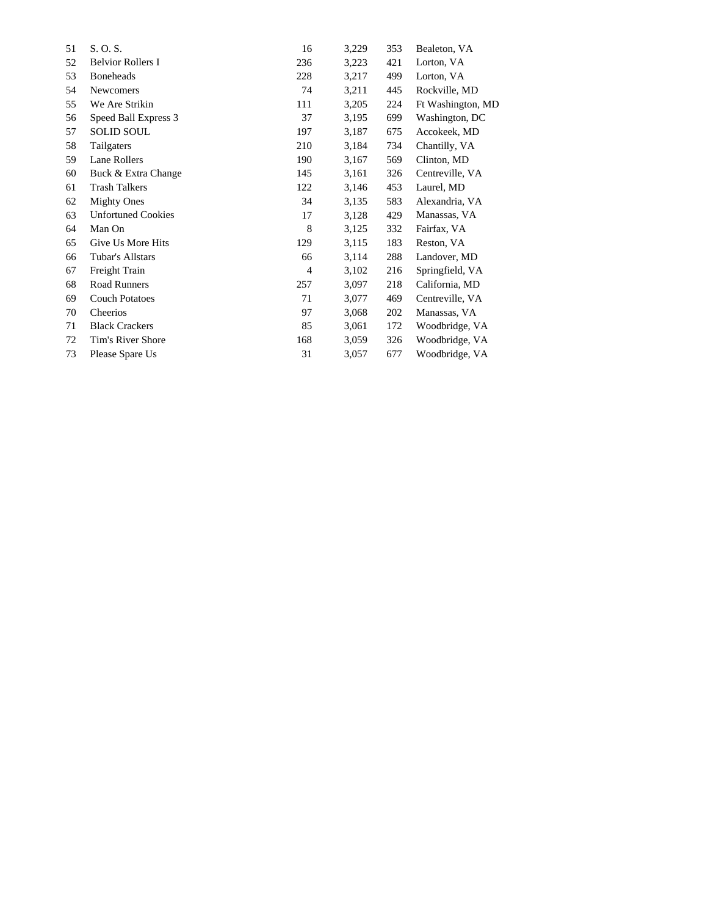| 51 | S. O. S.                  | 16             | 3,229 | 353 | Bealeton, VA      |
|----|---------------------------|----------------|-------|-----|-------------------|
| 52 | <b>Belvior Rollers I</b>  | 236            | 3,223 | 421 | Lorton, VA        |
| 53 | <b>Boneheads</b>          | 228            | 3,217 | 499 | Lorton, VA        |
| 54 | <b>Newcomers</b>          | 74             | 3,211 | 445 | Rockville, MD     |
| 55 | We Are Strikin            | 111            | 3,205 | 224 | Ft Washington, MD |
| 56 | Speed Ball Express 3      | 37             | 3,195 | 699 | Washington, DC    |
| 57 | <b>SOLID SOUL</b>         | 197            | 3,187 | 675 | Accokeek, MD      |
| 58 | Tailgaters                | 210            | 3,184 | 734 | Chantilly, VA     |
| 59 | Lane Rollers              | 190            | 3,167 | 569 | Clinton, MD       |
| 60 | Buck & Extra Change       | 145            | 3,161 | 326 | Centreville, VA   |
| 61 | <b>Trash Talkers</b>      | 122            | 3,146 | 453 | Laurel, MD        |
| 62 | <b>Mighty Ones</b>        | 34             | 3,135 | 583 | Alexandria, VA    |
| 63 | <b>Unfortuned Cookies</b> | 17             | 3,128 | 429 | Manassas, VA      |
| 64 | Man On                    | 8              | 3,125 | 332 | Fairfax, VA       |
| 65 | Give Us More Hits         | 129            | 3,115 | 183 | Reston, VA        |
| 66 | Tubar's Allstars          | 66             | 3,114 | 288 | Landover, MD      |
| 67 | Freight Train             | $\overline{4}$ | 3,102 | 216 | Springfield, VA   |
| 68 | Road Runners              | 257            | 3,097 | 218 | California, MD    |
| 69 | <b>Couch Potatoes</b>     | 71             | 3,077 | 469 | Centreville, VA   |
| 70 | Cheerios                  | 97             | 3,068 | 202 | Manassas, VA      |
| 71 | <b>Black Crackers</b>     | 85             | 3,061 | 172 | Woodbridge, VA    |
| 72 | Tim's River Shore         | 168            | 3,059 | 326 | Woodbridge, VA    |
| 73 | Please Spare Us           | 31             | 3,057 | 677 | Woodbridge, VA    |
|    |                           |                |       |     |                   |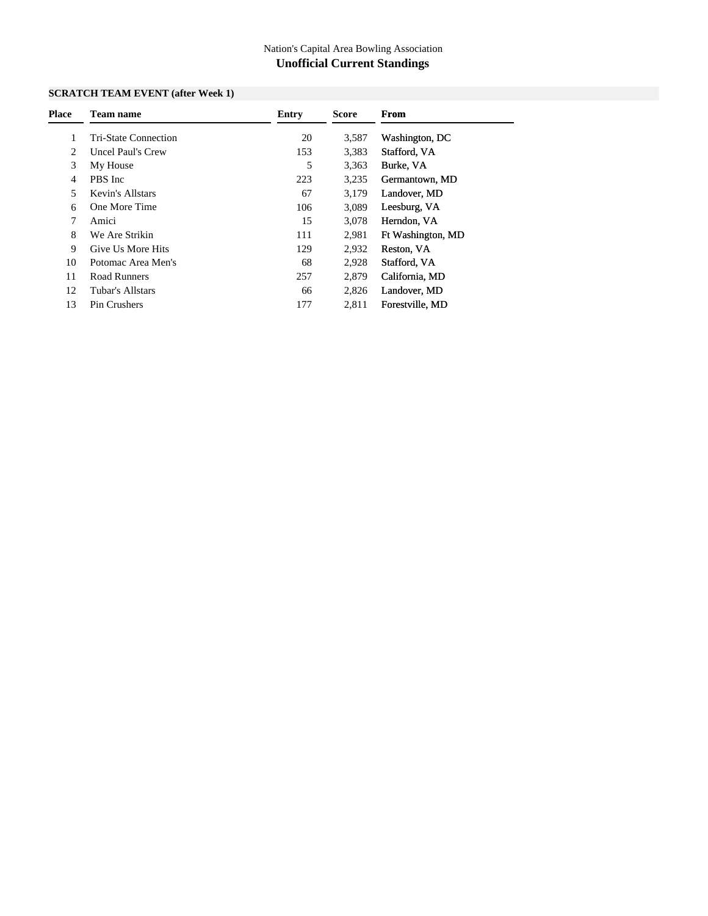### **SCRATCH TEAM EVENT (after Week 1)**

| <b>Place</b> | Team name                   | Entry | <b>Score</b> | From              |
|--------------|-----------------------------|-------|--------------|-------------------|
|              | <b>Tri-State Connection</b> | 20    | 3,587        | Washington, DC    |
| 2            | <b>Uncel Paul's Crew</b>    | 153   | 3,383        | Stafford, VA      |
| 3            | My House                    | 5     | 3,363        | Burke, VA         |
| 4            | PBS Inc                     | 223   | 3,235        | Germantown, MD    |
| 5            | Kevin's Allstars            | 67    | 3,179        | Landover, MD      |
| 6            | One More Time               | 106   | 3,089        | Leesburg, VA      |
|              | Amici                       | 15    | 3,078        | Herndon, VA       |
| 8            | We Are Strikin              | 111   | 2,981        | Ft Washington, MD |
| 9            | Give Us More Hits           | 129   | 2,932        | Reston, VA        |
| 10           | Potomac Area Men's          | 68    | 2,928        | Stafford, VA      |
| 11           | Road Runners                | 257   | 2.879        | California, MD    |
| 12           | Tubar's Allstars            | 66    | 2,826        | Landover, MD      |
| 13           | Pin Crushers                | 177   | 2,811        | Forestville, MD   |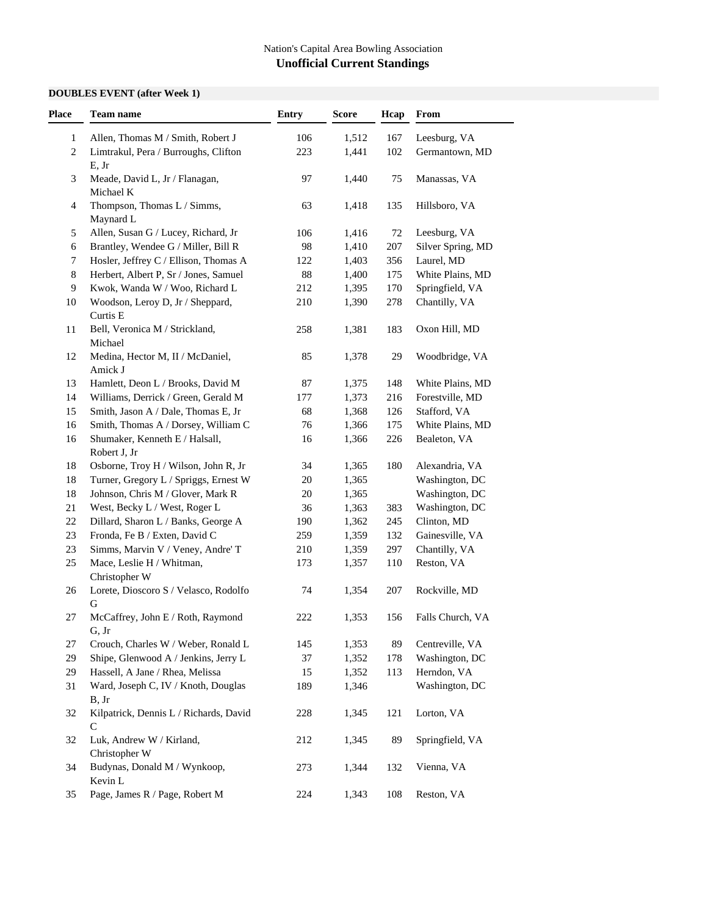### **DOUBLES EVENT (after Week 1)**

| Place          | <b>Team name</b>                           | <b>Entry</b> | <b>Score</b> | Hcap | From              |
|----------------|--------------------------------------------|--------------|--------------|------|-------------------|
| 1              | Allen, Thomas M / Smith, Robert J          | 106          | 1,512        | 167  | Leesburg, VA      |
| $\overline{c}$ | Limtrakul, Pera / Burroughs, Clifton       | 223          | 1,441        | 102  | Germantown, MD    |
|                | E, Jr                                      |              |              |      |                   |
| 3              | Meade, David L, Jr / Flanagan,             | 97           | 1,440        | 75   | Manassas, VA      |
|                | Michael K                                  |              |              |      |                   |
| 4              | Thompson, Thomas L / Simms,                | 63           | 1,418        | 135  | Hillsboro, VA     |
|                | Maynard L                                  |              |              |      |                   |
| 5              | Allen, Susan G / Lucey, Richard, Jr        | 106          | 1,416        | 72   | Leesburg, VA      |
| 6              | Brantley, Wendee G / Miller, Bill R        | 98           | 1,410        | 207  | Silver Spring, MD |
| 7              | Hosler, Jeffrey C / Ellison, Thomas A      | 122          | 1,403        | 356  | Laurel, MD        |
| 8              | Herbert, Albert P, Sr / Jones, Samuel      | 88           | 1,400        | 175  | White Plains, MD  |
| 9              | Kwok, Wanda W / Woo, Richard L             | 212          | 1,395        | 170  | Springfield, VA   |
| 10             | Woodson, Leroy D, Jr / Sheppard,           | 210          | 1,390        | 278  | Chantilly, VA     |
|                | Curtis E                                   |              |              |      |                   |
| 11             | Bell, Veronica M / Strickland,             | 258          | 1,381        | 183  | Oxon Hill, MD     |
|                | Michael                                    |              |              |      |                   |
| 12             | Medina, Hector M, II / McDaniel,           | 85           | 1,378        | 29   | Woodbridge, VA    |
|                | Amick J                                    |              |              |      |                   |
| 13             | Hamlett, Deon L / Brooks, David M          | 87           | 1,375        | 148  | White Plains, MD  |
| 14             | Williams, Derrick / Green, Gerald M        | 177          | 1,373        | 216  | Forestville, MD   |
| 15             | Smith, Jason A / Dale, Thomas E, Jr        | 68           | 1,368        | 126  | Stafford, VA      |
| 16             | Smith, Thomas A / Dorsey, William C        | 76           | 1,366        | 175  | White Plains, MD  |
| 16             | Shumaker, Kenneth E / Halsall,             | 16           | 1,366        | 226  | Bealeton, VA      |
|                | Robert J, Jr                               |              |              |      |                   |
| 18             | Osborne, Troy H / Wilson, John R, Jr       | 34           | 1,365        | 180  | Alexandria, VA    |
| 18             | Turner, Gregory L / Spriggs, Ernest W      | 20           | 1,365        |      | Washington, DC    |
| 18             | Johnson, Chris M / Glover, Mark R          | 20           | 1,365        |      | Washington, DC    |
| 21             | West, Becky L / West, Roger L              | 36           | 1,363        | 383  | Washington, DC    |
| 22             | Dillard, Sharon L / Banks, George A        | 190          | 1,362        | 245  | Clinton, MD       |
| 23             | Fronda, Fe B / Exten, David C              | 259          | 1,359        | 132  | Gainesville, VA   |
| 23             | Simms, Marvin V / Veney, Andre' T          | 210          | 1,359        | 297  | Chantilly, VA     |
| 25             | Mace, Leslie H / Whitman,                  | 173          | 1,357        | 110  | Reston, VA        |
|                | Christopher W                              |              |              |      |                   |
| 26             | Lorete, Dioscoro S / Velasco, Rodolfo<br>G | 74           | 1,354        | 207  | Rockville, MD     |
| 27             | McCaffrey, John E / Roth, Raymond          | 222          | 1,353        | 156  | Falls Church, VA  |
|                | G, Jr                                      |              |              |      |                   |
| 27             | Crouch, Charles W / Weber, Ronald L        | 145          | 1,353        | 89   | Centreville, VA   |
| 29             | Shipe, Glenwood A / Jenkins, Jerry L       | 37           | 1,352        | 178  | Washington, DC    |
| 29             | Hassell, A Jane / Rhea, Melissa            | 15           | 1,352        | 113  | Herndon, VA       |
| 31             | Ward, Joseph C, IV / Knoth, Douglas        | 189          | 1,346        |      | Washington, DC    |
|                | B, Jr                                      |              |              |      |                   |
| 32             | Kilpatrick, Dennis L / Richards, David     | 228          | 1,345        | 121  | Lorton, VA        |
|                | $\mathbf C$                                |              |              |      |                   |
| 32             | Luk, Andrew W / Kirland,                   | 212          | 1,345        | 89   | Springfield, VA   |
|                | Christopher W                              |              |              |      |                   |
| 34             | Budynas, Donald M / Wynkoop,               | 273          | 1,344        | 132  | Vienna, VA        |
|                | Kevin L                                    |              |              |      |                   |
| 35             | Page, James R / Page, Robert M             | 224          | 1,343        | 108  | Reston, VA        |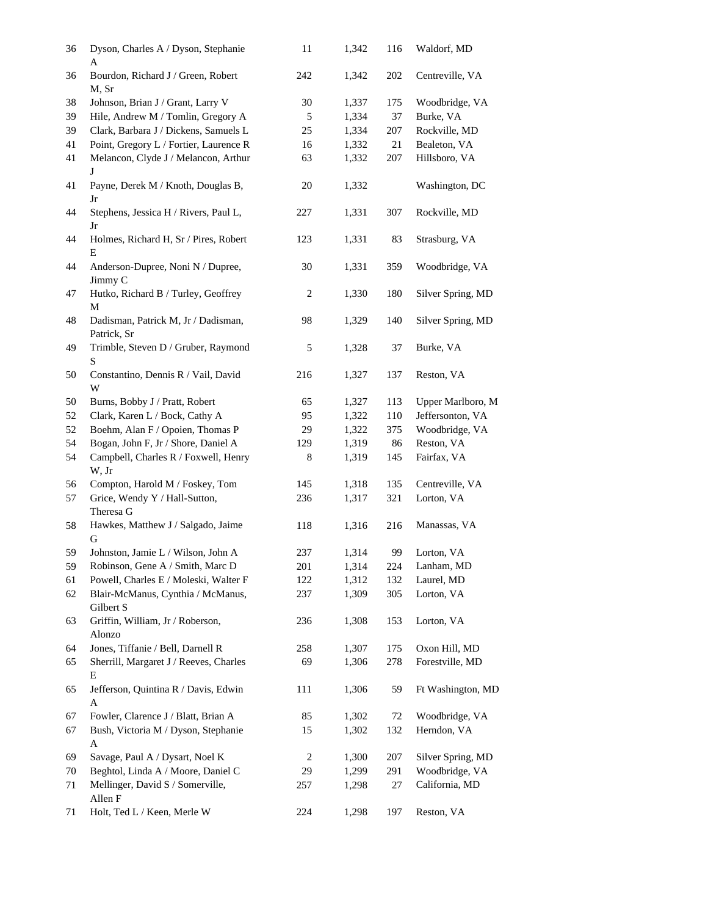| 36 | Dyson, Charles A / Dyson, Stephanie<br>A           | 11     | 1,342 | 116 | Waldorf, MD       |  |
|----|----------------------------------------------------|--------|-------|-----|-------------------|--|
| 36 | Bourdon, Richard J / Green, Robert<br>M, Sr        | 242    | 1,342 | 202 | Centreville, VA   |  |
| 38 | Johnson, Brian J / Grant, Larry V                  | $30\,$ | 1,337 | 175 | Woodbridge, VA    |  |
| 39 | Hile, Andrew M / Tomlin, Gregory A                 | 5      | 1,334 | 37  | Burke, VA         |  |
| 39 | Clark, Barbara J / Dickens, Samuels L              | 25     | 1,334 | 207 | Rockville, MD     |  |
| 41 | Point, Gregory L / Fortier, Laurence R             | 16     | 1,332 | 21  | Bealeton, VA      |  |
| 41 | Melancon, Clyde J / Melancon, Arthur<br>J          | 63     | 1,332 | 207 | Hillsboro, VA     |  |
| 41 | Payne, Derek M / Knoth, Douglas B,<br>Jr           | $20\,$ | 1,332 |     | Washington, DC    |  |
| 44 | Stephens, Jessica H / Rivers, Paul L,<br>Jr        | 227    | 1,331 | 307 | Rockville, MD     |  |
| 44 | Holmes, Richard H, Sr / Pires, Robert<br>E         | 123    | 1,331 | 83  | Strasburg, VA     |  |
| 44 | Anderson-Dupree, Noni N / Dupree,<br>Jimmy C       | 30     | 1,331 | 359 | Woodbridge, VA    |  |
| 47 | Hutko, Richard B / Turley, Geoffrey<br>М           | 2      | 1,330 | 180 | Silver Spring, MD |  |
| 48 | Dadisman, Patrick M, Jr / Dadisman,<br>Patrick, Sr | 98     | 1,329 | 140 | Silver Spring, MD |  |
| 49 | Trimble, Steven D / Gruber, Raymond<br>S           | 5      | 1,328 | 37  | Burke, VA         |  |
| 50 | Constantino, Dennis R / Vail, David<br>W           | 216    | 1,327 | 137 | Reston, VA        |  |
| 50 | Burns, Bobby J / Pratt, Robert                     | 65     | 1,327 | 113 | Upper Marlboro, M |  |
| 52 | Clark, Karen L / Bock, Cathy A                     | 95     | 1,322 | 110 | Jeffersonton, VA  |  |
| 52 | Boehm, Alan F / Opoien, Thomas P                   | 29     | 1,322 | 375 | Woodbridge, VA    |  |
| 54 | Bogan, John F, Jr / Shore, Daniel A                | 129    | 1,319 | 86  | Reston, VA        |  |
| 54 | Campbell, Charles R / Foxwell, Henry<br>W, Jr      | 8      | 1,319 | 145 | Fairfax, VA       |  |
| 56 | Compton, Harold M / Foskey, Tom                    | 145    | 1,318 | 135 | Centreville, VA   |  |
| 57 | Grice, Wendy Y / Hall-Sutton,<br>Theresa G         | 236    | 1,317 | 321 | Lorton, VA        |  |
| 58 | Hawkes, Matthew J / Salgado, Jaime<br>G            | 118    | 1,316 | 216 | Manassas, VA      |  |
| 59 | Johnston, Jamie L / Wilson, John A                 | 237    | 1,314 | 99  | Lorton, VA        |  |
| 59 | Robinson, Gene A / Smith, Marc D                   | 201    | 1,314 | 224 | Lanham, MD        |  |
| 61 | Powell, Charles E / Moleski, Walter F              | 122    | 1,312 | 132 | Laurel, MD        |  |
| 62 | Blair-McManus, Cynthia / McManus,<br>Gilbert S     | 237    | 1,309 | 305 | Lorton, VA        |  |
| 63 | Griffin, William, Jr / Roberson,<br>Alonzo         | 236    | 1,308 | 153 | Lorton, VA        |  |
| 64 | Jones, Tiffanie / Bell, Darnell R                  | 258    | 1,307 | 175 | Oxon Hill, MD     |  |
| 65 | Sherrill, Margaret J / Reeves, Charles<br>Ε        | 69     | 1,306 | 278 | Forestville, MD   |  |
| 65 | Jefferson, Quintina R / Davis, Edwin<br>A          | 111    | 1,306 | 59  | Ft Washington, MD |  |
| 67 | Fowler, Clarence J / Blatt, Brian A                | 85     | 1,302 | 72  | Woodbridge, VA    |  |
| 67 | Bush, Victoria M / Dyson, Stephanie<br>A           | 15     | 1,302 | 132 | Herndon, VA       |  |
| 69 | Savage, Paul A / Dysart, Noel K                    | 2      | 1,300 | 207 | Silver Spring, MD |  |
| 70 | Beghtol, Linda A / Moore, Daniel C                 | 29     | 1,299 | 291 | Woodbridge, VA    |  |
| 71 | Mellinger, David S / Somerville,<br>Allen F        | 257    | 1,298 | 27  | California, MD    |  |
| 71 | Holt, Ted L / Keen, Merle W                        | 224    | 1,298 | 197 | Reston, VA        |  |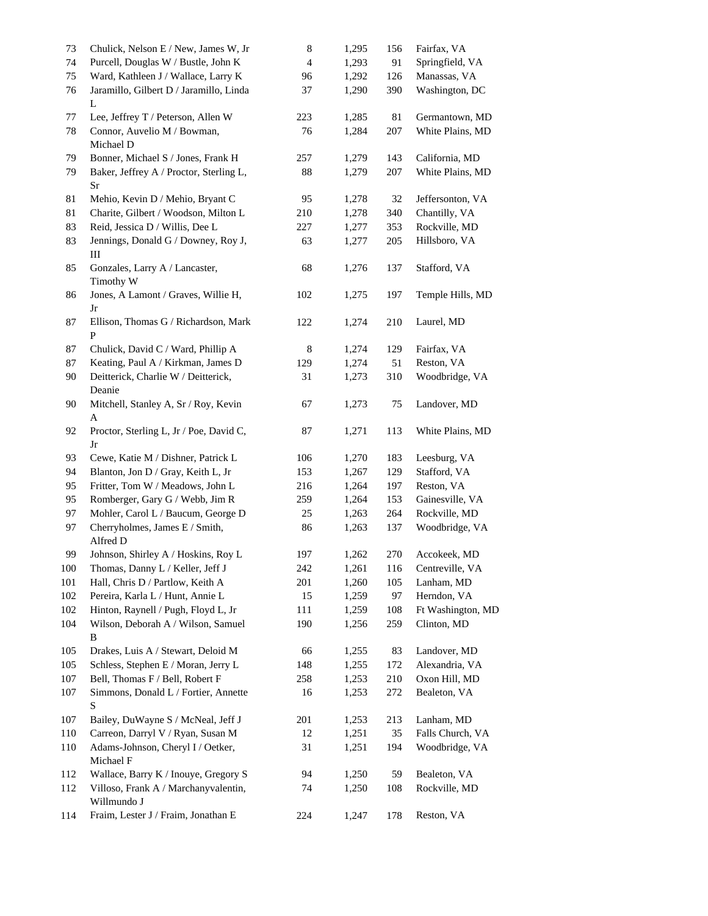| 73      | Chulick, Nelson E / New, James W, Jr    | 8      | 1,295 | 156 | Fairfax, VA       |
|---------|-----------------------------------------|--------|-------|-----|-------------------|
| 74      | Purcell, Douglas W / Bustle, John K     | 4      | 1,293 | 91  | Springfield, VA   |
| 75      | Ward, Kathleen J / Wallace, Larry K     | 96     | 1,292 | 126 | Manassas, VA      |
| 76      | Jaramillo, Gilbert D / Jaramillo, Linda | 37     | 1,290 | 390 | Washington, DC    |
|         | L                                       |        |       |     |                   |
| 77      | Lee, Jeffrey T / Peterson, Allen W      | 223    | 1,285 | 81  | Germantown, MD    |
| 78      | Connor, Auvelio M / Bowman,             | 76     | 1,284 | 207 | White Plains, MD  |
|         | Michael D                               |        |       |     |                   |
| 79      | Bonner, Michael S / Jones, Frank H      | 257    | 1,279 | 143 | California, MD    |
| 79      | Baker, Jeffrey A / Proctor, Sterling L, | 88     | 1,279 | 207 | White Plains, MD  |
|         | Sr                                      |        |       |     |                   |
| 81      | Mehio, Kevin D / Mehio, Bryant C        | 95     | 1,278 | 32  | Jeffersonton, VA  |
| 81      | Charite, Gilbert / Woodson, Milton L    | 210    | 1,278 |     | Chantilly, VA     |
|         |                                         |        |       | 340 |                   |
| 83      | Reid, Jessica D / Willis, Dee L         | 227    | 1,277 | 353 | Rockville, MD     |
| 83      | Jennings, Donald G / Downey, Roy J,     | 63     | 1,277 | 205 | Hillsboro, VA     |
|         | Ш                                       |        |       |     |                   |
| 85      | Gonzales, Larry A / Lancaster,          | 68     | 1,276 | 137 | Stafford, VA      |
|         | Timothy W                               |        |       |     |                   |
| 86      | Jones, A Lamont / Graves, Willie H,     | 102    | 1,275 | 197 | Temple Hills, MD  |
|         | Jr                                      |        |       |     |                   |
| 87      | Ellison, Thomas G / Richardson, Mark    | 122    | 1,274 | 210 | Laurel, MD        |
|         | ${\bf P}$                               |        |       |     |                   |
| 87      | Chulick, David C / Ward, Phillip A      | 8      | 1,274 | 129 | Fairfax, VA       |
| 87      | Keating, Paul A / Kirkman, James D      | 129    | 1,274 | 51  | Reston, VA        |
| 90      | Deitterick, Charlie W / Deitterick,     | 31     | 1,273 | 310 | Woodbridge, VA    |
|         | Deanie                                  |        |       |     |                   |
| 90      | Mitchell, Stanley A, Sr / Roy, Kevin    | 67     | 1,273 | 75  | Landover, MD      |
|         | A                                       |        |       |     |                   |
| 92      | Proctor, Sterling L, Jr / Poe, David C, | $87\,$ | 1,271 | 113 | White Plains, MD  |
|         | Jr                                      |        |       |     |                   |
| 93      | Cewe, Katie M / Dishner, Patrick L      | 106    | 1,270 | 183 | Leesburg, VA      |
| 94      | Blanton, Jon D / Gray, Keith L, Jr      | 153    | 1,267 | 129 | Stafford, VA      |
| 95      | Fritter, Tom W / Meadows, John L        | 216    | 1,264 | 197 | Reston, VA        |
| 95      | Romberger, Gary G / Webb, Jim R         | 259    | 1,264 | 153 | Gainesville, VA   |
| 97      | Mohler, Carol L / Baucum, George D      | $25\,$ | 1,263 | 264 | Rockville, MD     |
| 97      | Cherryholmes, James E / Smith,          | 86     |       | 137 |                   |
|         | Alfred D                                |        | 1,263 |     | Woodbridge, VA    |
|         |                                         |        |       |     |                   |
| 99      | Johnson, Shirley A / Hoskins, Roy L     | 197    | 1,262 | 270 | Accokeek, MD      |
| 100     | Thomas, Danny L / Keller, Jeff J        | 242    | 1,261 | 116 | Centreville, VA   |
| 101     | Hall, Chris D / Partlow, Keith A        | 201    | 1,260 | 105 | Lanham, MD        |
| 102     | Pereira, Karla L / Hunt, Annie L        | 15     | 1,259 | 97  | Herndon, VA       |
| 102     | Hinton, Raynell / Pugh, Floyd L, Jr     | 111    | 1,259 | 108 | Ft Washington, MD |
| 104     | Wilson, Deborah A / Wilson, Samuel      | 190    | 1,256 | 259 | Clinton, MD       |
|         | B                                       |        |       |     |                   |
| 105     | Drakes, Luis A / Stewart, Deloid M      | 66     | 1,255 | 83  | Landover, MD      |
| 105     | Schless, Stephen E / Moran, Jerry L     | 148    | 1,255 | 172 | Alexandria, VA    |
| 107     | Bell, Thomas F / Bell, Robert F         | 258    | 1,253 | 210 | Oxon Hill, MD     |
| $107\,$ | Simmons, Donald L / Fortier, Annette    | 16     | 1,253 | 272 | Bealeton, VA      |
|         | S                                       |        |       |     |                   |
| 107     | Bailey, DuWayne S / McNeal, Jeff J      | 201    | 1,253 | 213 | Lanham, MD        |
| 110     | Carreon, Darryl V / Ryan, Susan M       | 12     | 1,251 | 35  | Falls Church, VA  |
| 110     | Adams-Johnson, Cheryl I / Oetker,       | 31     | 1,251 | 194 | Woodbridge, VA    |
|         | Michael F                               |        |       |     |                   |
|         |                                         |        |       |     |                   |
| 112     | Wallace, Barry K / Inouye, Gregory S    | 94     | 1,250 | 59  | Bealeton, VA      |
| 112     | Villoso, Frank A / Marchanyvalentin,    | 74     | 1,250 | 108 | Rockville, MD     |
|         | Willmundo J                             |        |       |     |                   |
| 114     | Fraim, Lester J / Fraim, Jonathan E     | 224    | 1,247 | 178 | Reston, VA        |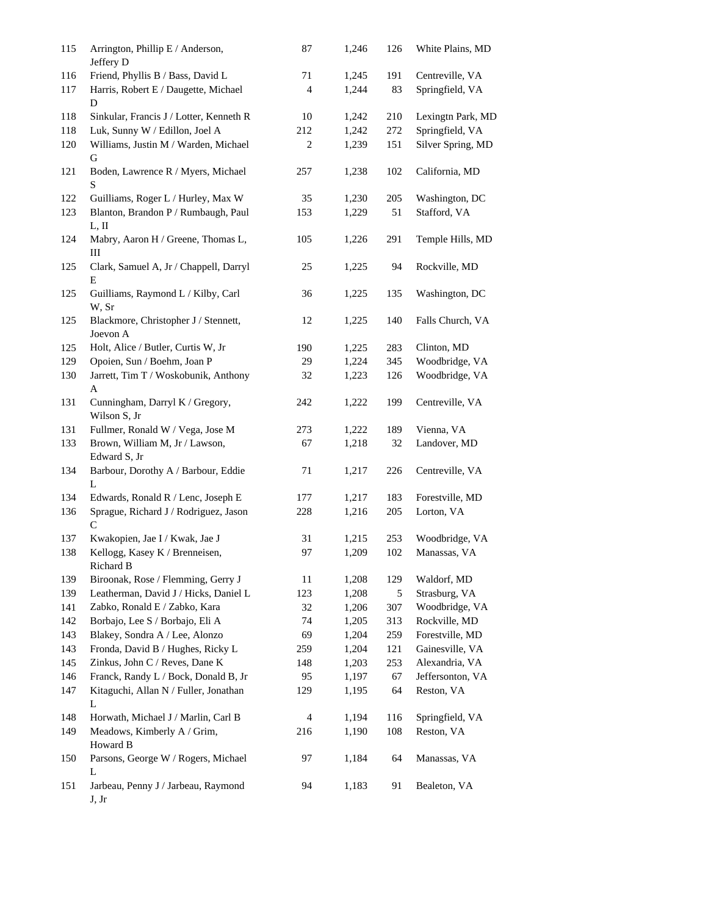| 115        | Arrington, Phillip E / Anderson,<br>Jeffery D                       | 87         | 1,246          | 126        | White Plains, MD                  |
|------------|---------------------------------------------------------------------|------------|----------------|------------|-----------------------------------|
| 116        | Friend, Phyllis B / Bass, David L                                   | 71         | 1,245          | 191        | Centreville, VA                   |
| 117        | Harris, Robert E / Daugette, Michael<br>$\mathbf D$                 | 4          | 1,244          | 83         | Springfield, VA                   |
| 118        | Sinkular, Francis J / Lotter, Kenneth R                             | 10         | 1,242          | 210        | Lexingtn Park, MD                 |
| 118        | Luk, Sunny W / Edillon, Joel A                                      | 212        | 1,242          | 272        | Springfield, VA                   |
| 120        | Williams, Justin M / Warden, Michael<br>G                           | 2          | 1,239          | 151        | Silver Spring, MD                 |
| 121        | Boden, Lawrence R / Myers, Michael<br>S                             | 257        | 1,238          | 102        | California, MD                    |
| 122        | Guilliams, Roger L / Hurley, Max W                                  | 35         | 1,230          | 205        | Washington, DC                    |
| 123        | Blanton, Brandon P / Rumbaugh, Paul<br>L, II                        | 153        | 1,229          | 51         | Stafford, VA                      |
| 124        | Mabry, Aaron H / Greene, Thomas L,<br>Ш                             | 105        | 1,226          | 291        | Temple Hills, MD                  |
| 125        | Clark, Samuel A, Jr / Chappell, Darryl<br>E                         | 25         | 1,225          | 94         | Rockville, MD                     |
| 125        | Guilliams, Raymond L / Kilby, Carl<br>W, Sr                         | 36         | 1,225          | 135        | Washington, DC                    |
| 125        | Blackmore, Christopher J / Stennett,<br>Joevon A                    | 12         | 1,225          | 140        | Falls Church, VA                  |
| 125        | Holt, Alice / Butler, Curtis W, Jr                                  | 190        | 1,225          | 283        | Clinton, MD                       |
| 129        | Opoien, Sun / Boehm, Joan P                                         | 29         | 1,224          | 345        | Woodbridge, VA                    |
| 130        | Jarrett, Tim T / Woskobunik, Anthony<br>A                           | 32         | 1,223          | 126        | Woodbridge, VA                    |
| 131        | Cunningham, Darryl K / Gregory,<br>Wilson S, Jr                     | 242        | 1,222          | 199        | Centreville, VA                   |
| 131        | Fullmer, Ronald W / Vega, Jose M                                    | 273        | 1,222          | 189        | Vienna, VA                        |
| 133        | Brown, William M, Jr / Lawson,<br>Edward S, Jr                      | 67         | 1,218          | 32         | Landover, MD                      |
| 134        | Barbour, Dorothy A / Barbour, Eddie<br>L                            | 71         | 1,217          | 226        | Centreville, VA                   |
| 134        | Edwards, Ronald R / Lenc, Joseph E                                  | 177        | 1,217          | 183        | Forestville, MD                   |
| 136        | Sprague, Richard J / Rodriguez, Jason<br>$\mathsf{C}$               | 228        | 1,216          | 205        | Lorton, VA                        |
| 137        | Kwakopien, Jae I / Kwak, Jae J                                      | 31         | 1,215          | 253        | Woodbridge, VA                    |
| 138        | Kellogg, Kasey K / Brenneisen,<br>Richard B                         | 97         | 1,209          | 102        | Manassas, VA                      |
| 139        | Biroonak, Rose / Flemming, Gerry J                                  | 11         | 1,208          | 129        | Waldorf, MD                       |
| 139        | Leatherman, David J / Hicks, Daniel L                               | 123        | 1,208          | 5          | Strasburg, VA                     |
| 141        | Zabko, Ronald E / Zabko, Kara                                       | 32         | 1,206          | 307        | Woodbridge, VA                    |
| 142        | Borbajo, Lee S / Borbajo, Eli A                                     | 74         | 1,205          | 313        | Rockville, MD                     |
| 143        | Blakey, Sondra A / Lee, Alonzo                                      | 69         | 1,204          | 259        | Forestville, MD                   |
| 143<br>145 | Fronda, David B / Hughes, Ricky L<br>Zinkus, John C / Reves, Dane K | 259<br>148 | 1,204<br>1,203 | 121<br>253 | Gainesville, VA<br>Alexandria, VA |
| 146        | Franck, Randy L / Bock, Donald B, Jr                                | 95         | 1,197          | 67         | Jeffersonton, VA                  |
| 147        | Kitaguchi, Allan N / Fuller, Jonathan                               | 129        | 1,195          | 64         | Reston, VA                        |
| 148        | L<br>Horwath, Michael J / Marlin, Carl B                            | 4          | 1,194          | 116        | Springfield, VA                   |
| 149        | Meadows, Kimberly A / Grim,                                         | 216        | 1,190          | 108        | Reston, VA                        |
|            | Howard B                                                            |            |                |            |                                   |
| 150        | Parsons, George W / Rogers, Michael<br>L                            | 97         | 1,184          | 64         | Manassas, VA                      |
| 151        | Jarbeau, Penny J / Jarbeau, Raymond<br>J, Jr                        | 94         | 1,183          | 91         | Bealeton, VA                      |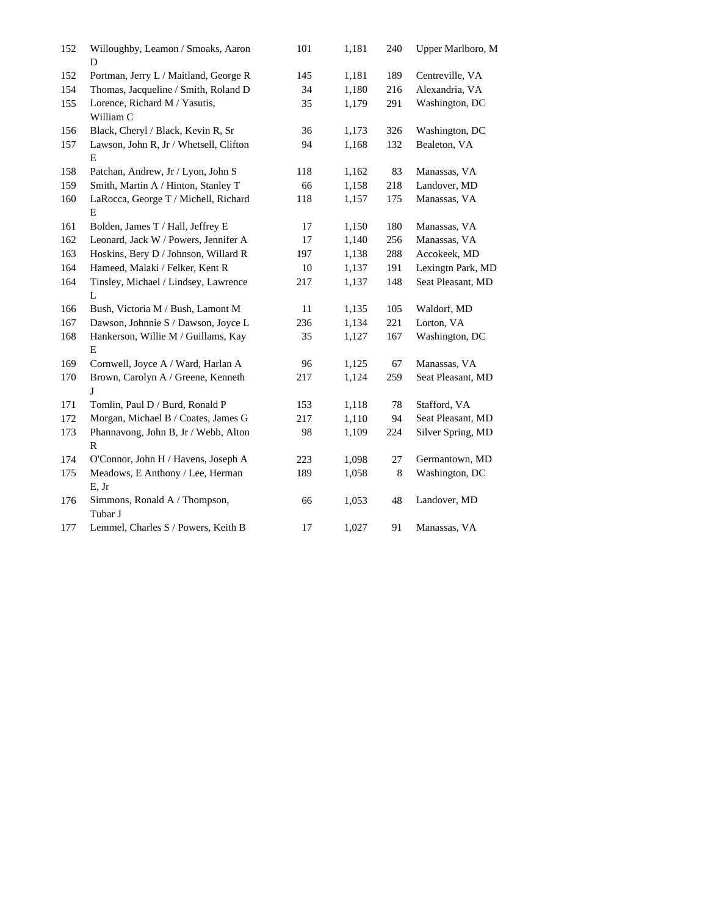| 152 | Willoughby, Leamon / Smoaks, Aaron<br>D              | 101    | 1,181 | 240 | Upper Marlboro, M |  |
|-----|------------------------------------------------------|--------|-------|-----|-------------------|--|
| 152 | Portman, Jerry L / Maitland, George R                | 145    | 1,181 | 189 | Centreville, VA   |  |
| 154 | Thomas, Jacqueline / Smith, Roland D                 | 34     | 1,180 | 216 | Alexandria, VA    |  |
| 155 | Lorence, Richard M / Yasutis,<br>William C           | 35     | 1,179 | 291 | Washington, DC    |  |
| 156 | Black, Cheryl / Black, Kevin R, Sr                   | 36     | 1,173 | 326 | Washington, DC    |  |
| 157 | Lawson, John R, Jr / Whetsell, Clifton<br>E          | 94     | 1,168 | 132 | Bealeton, VA      |  |
| 158 | Patchan, Andrew, Jr / Lyon, John S                   | 118    | 1,162 | 83  | Manassas, VA      |  |
| 159 | Smith, Martin A / Hinton, Stanley T                  | 66     | 1,158 | 218 | Landover, MD      |  |
| 160 | LaRocca, George T / Michell, Richard                 | 118    | 1,157 | 175 | Manassas, VA      |  |
|     | E                                                    |        |       |     |                   |  |
| 161 | Bolden, James T / Hall, Jeffrey E                    | 17     | 1,150 | 180 | Manassas, VA      |  |
| 162 | Leonard, Jack W / Powers, Jennifer A                 | 17     | 1,140 | 256 | Manassas, VA      |  |
| 163 | Hoskins, Bery D / Johnson, Willard R                 | 197    | 1,138 | 288 | Accokeek, MD      |  |
| 164 | Hameed, Malaki / Felker, Kent R                      | $10\,$ | 1,137 | 191 | Lexingtn Park, MD |  |
| 164 | Tinsley, Michael / Lindsey, Lawrence<br>$\mathbf{L}$ | 217    | 1,137 | 148 | Seat Pleasant, MD |  |
| 166 | Bush, Victoria M / Bush, Lamont M                    | 11     | 1,135 | 105 | Waldorf, MD       |  |
| 167 | Dawson, Johnnie S / Dawson, Joyce L                  | 236    | 1,134 | 221 | Lorton, VA        |  |
| 168 | Hankerson, Willie M / Guillams, Kay                  | 35     | 1,127 | 167 | Washington, DC    |  |
|     | E                                                    |        |       |     |                   |  |
| 169 | Cornwell, Joyce A / Ward, Harlan A                   | 96     | 1,125 | 67  | Manassas, VA      |  |
| 170 | Brown, Carolyn A / Greene, Kenneth<br>J              | 217    | 1,124 | 259 | Seat Pleasant, MD |  |
| 171 | Tomlin, Paul D / Burd, Ronald P                      | 153    | 1,118 | 78  | Stafford, VA      |  |
| 172 | Morgan, Michael B / Coates, James G                  | 217    | 1,110 | 94  | Seat Pleasant, MD |  |
| 173 | Phannavong, John B, Jr / Webb, Alton<br>$\mathbb{R}$ | 98     | 1,109 | 224 | Silver Spring, MD |  |
| 174 | O'Connor, John H / Havens, Joseph A                  | 223    | 1,098 | 27  | Germantown, MD    |  |
| 175 | Meadows, E Anthony / Lee, Herman                     | 189    | 1,058 | 8   | Washington, DC    |  |
|     | E, Jr                                                |        |       |     |                   |  |
| 176 | Simmons, Ronald A / Thompson,<br>Tubar J             | 66     | 1,053 | 48  | Landover, MD      |  |
| 177 | Lemmel, Charles S / Powers, Keith B                  | 17     | 1,027 | 91  | Manassas, VA      |  |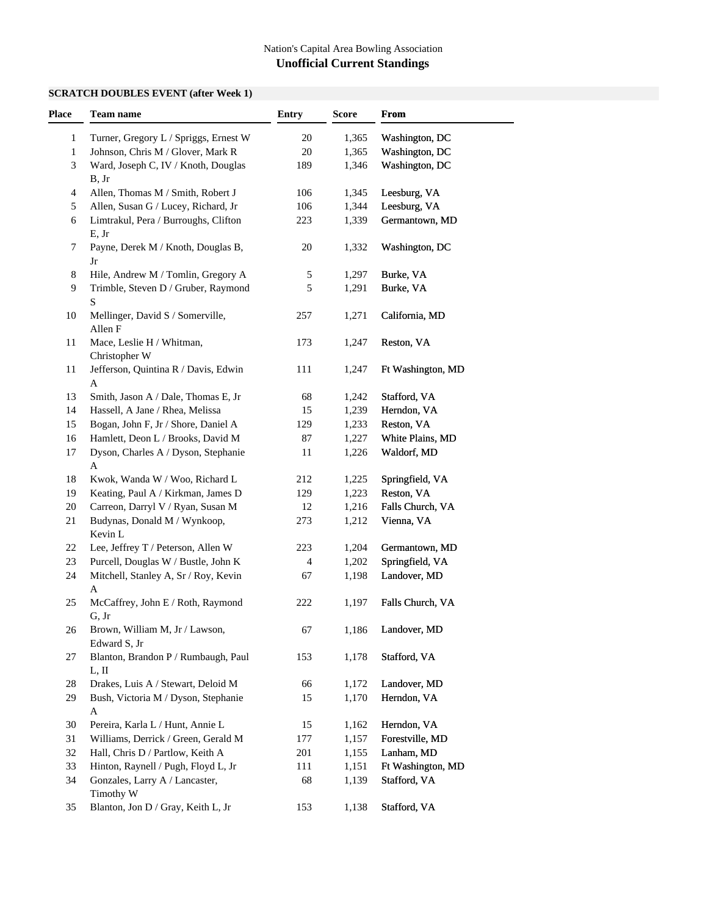# **SCRATCH DOUBLES EVENT (after Week 1)**

| Place        | <b>Team name</b>                                    | <b>Entry</b>   | <b>Score</b> | <b>From</b>       |  |
|--------------|-----------------------------------------------------|----------------|--------------|-------------------|--|
| 1            | Turner, Gregory L / Spriggs, Ernest W               | 20             | 1,365        | Washington, DC    |  |
| $\mathbf{1}$ | Johnson, Chris M / Glover, Mark R                   | 20             | 1,365        | Washington, DC    |  |
| 3            | Ward, Joseph C, IV / Knoth, Douglas<br>B, Jr        | 189            | 1,346        | Washington, DC    |  |
| 4            | Allen, Thomas M / Smith, Robert J                   | 106            | 1,345        | Leesburg, VA      |  |
| 5            | Allen, Susan G / Lucey, Richard, Jr                 | 106            | 1,344        | Leesburg, VA      |  |
| 6            | Limtrakul, Pera / Burroughs, Clifton<br>E, Jr       | 223            | 1,339        | Germantown, MD    |  |
| 7            | Payne, Derek M / Knoth, Douglas B,<br>Jr            | 20             | 1,332        | Washington, DC    |  |
| 8            | Hile, Andrew M / Tomlin, Gregory A                  | 5              | 1,297        | Burke, VA         |  |
| 9            | Trimble, Steven D / Gruber, Raymond<br>${\bf S}$    | 5              | 1,291        | Burke, VA         |  |
| 10           | Mellinger, David S / Somerville,<br>Allen F         | 257            | 1,271        | California, MD    |  |
| 11           | Mace, Leslie H / Whitman,<br>Christopher W          | 173            | 1,247        | Reston, VA        |  |
| 11           | Jefferson, Quintina R / Davis, Edwin<br>A           | 111            | 1,247        | Ft Washington, MD |  |
| 13           | Smith, Jason A / Dale, Thomas E, Jr                 | 68             | 1,242        | Stafford, VA      |  |
| 14           | Hassell, A Jane / Rhea, Melissa                     | 15             | 1,239        | Herndon, VA       |  |
| 15           | Bogan, John F, Jr / Shore, Daniel A                 | 129            | 1,233        | Reston, VA        |  |
| 16           | Hamlett, Deon L / Brooks, David M                   | 87             | 1,227        | White Plains, MD  |  |
| 17           | Dyson, Charles A / Dyson, Stephanie<br>$\mathbf A$  | 11             | 1,226        | Waldorf, MD       |  |
| 18           | Kwok, Wanda W / Woo, Richard L                      | 212            | 1,225        | Springfield, VA   |  |
| 19           | Keating, Paul A / Kirkman, James D                  | 129            | 1,223        | Reston, VA        |  |
| 20           | Carreon, Darryl V / Ryan, Susan M                   | 12             | 1,216        | Falls Church, VA  |  |
| 21           | Budynas, Donald M / Wynkoop,<br>Kevin L             | 273            | 1,212        | Vienna, VA        |  |
| 22           | Lee, Jeffrey T / Peterson, Allen W                  | 223            | 1,204        | Germantown, MD    |  |
| 23           | Purcell, Douglas W / Bustle, John K                 | $\overline{4}$ | 1,202        | Springfield, VA   |  |
| 24           | Mitchell, Stanley A, Sr / Roy, Kevin<br>$\mathbf A$ | 67             | 1,198        | Landover, MD      |  |
| 25           | McCaffrey, John E / Roth, Raymond<br>G, Jr          | 222            | 1,197        | Falls Church, VA  |  |
| 26           | Brown, William M, Jr / Lawson,<br>Edward S, Jr      | 67             | 1,186        | Landover, MD      |  |
| 27           | Blanton, Brandon P / Rumbaugh, Paul<br>L, II        | 153            | 1,178        | Stafford, VA      |  |
| 28           | Drakes, Luis A / Stewart, Deloid M                  | 66             | 1,172        | Landover, MD      |  |
| 29           | Bush, Victoria M / Dyson, Stephanie<br>A            | 15             | 1,170        | Herndon, VA       |  |
| 30           | Pereira, Karla L / Hunt, Annie L                    | 15             | 1,162        | Herndon, VA       |  |
| 31           | Williams, Derrick / Green, Gerald M                 | 177            | 1,157        | Forestville, MD   |  |
| 32           | Hall, Chris D / Partlow, Keith A                    | 201            | 1,155        | Lanham, MD        |  |
| 33           | Hinton, Raynell / Pugh, Floyd L, Jr                 | 111            | 1,151        | Ft Washington, MD |  |
| 34           | Gonzales, Larry A / Lancaster,<br>Timothy W         | 68             | 1,139        | Stafford, VA      |  |
| 35           | Blanton, Jon D / Gray, Keith L, Jr                  | 153            | 1,138        | Stafford, VA      |  |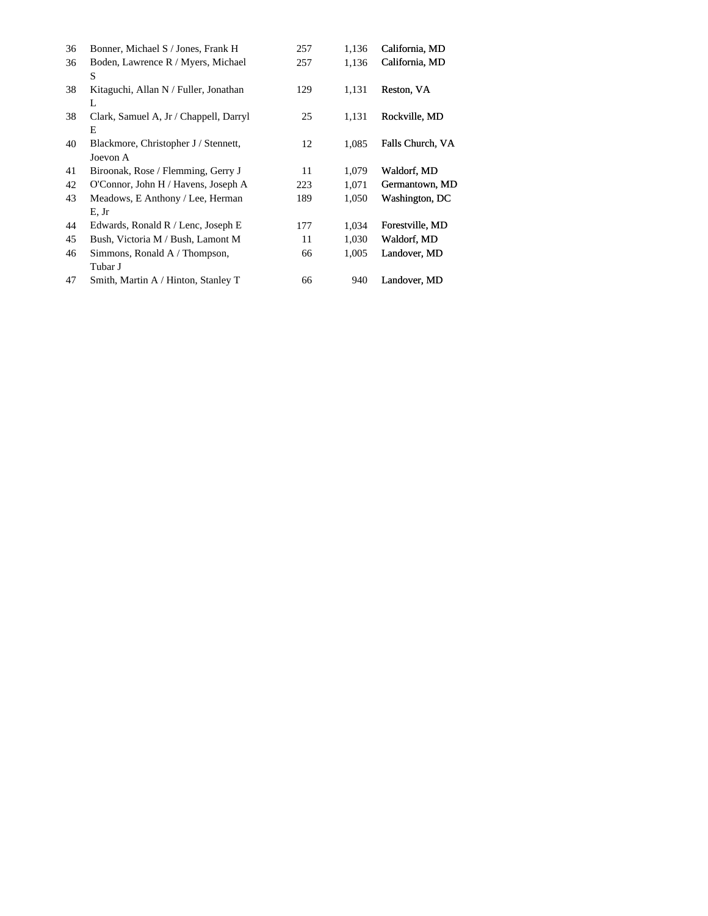| 36 | Bonner, Michael S / Jones, Frank H               | 257 | 1,136 | California, MD   |
|----|--------------------------------------------------|-----|-------|------------------|
| 36 | Boden, Lawrence R / Myers, Michael<br>S          | 257 | 1,136 | California, MD   |
| 38 | Kitaguchi, Allan N / Fuller, Jonathan<br>L       | 129 | 1,131 | Reston, VA       |
| 38 | Clark, Samuel A, Jr / Chappell, Darryl<br>E      | 25  | 1,131 | Rockville, MD    |
| 40 | Blackmore, Christopher J / Stennett,<br>Joevon A | 12  | 1,085 | Falls Church, VA |
| 41 | Biroonak, Rose / Flemming, Gerry J               | 11  | 1,079 | Waldorf, MD      |
| 42 | O'Connor, John H / Havens, Joseph A              | 223 | 1,071 | Germantown, MD   |
| 43 | Meadows, E Anthony / Lee, Herman<br>E, Jr        | 189 | 1,050 | Washington, DC   |
| 44 | Edwards, Ronald R / Lenc, Joseph E               | 177 | 1,034 | Forestville, MD  |
| 45 | Bush, Victoria M / Bush, Lamont M                | 11  | 1,030 | Waldorf, MD      |
| 46 | Simmons, Ronald A / Thompson,<br>Tubar J         | 66  | 1,005 | Landover, MD     |
| 47 | Smith, Martin A / Hinton, Stanley T              | 66  | 940   | Landover, MD     |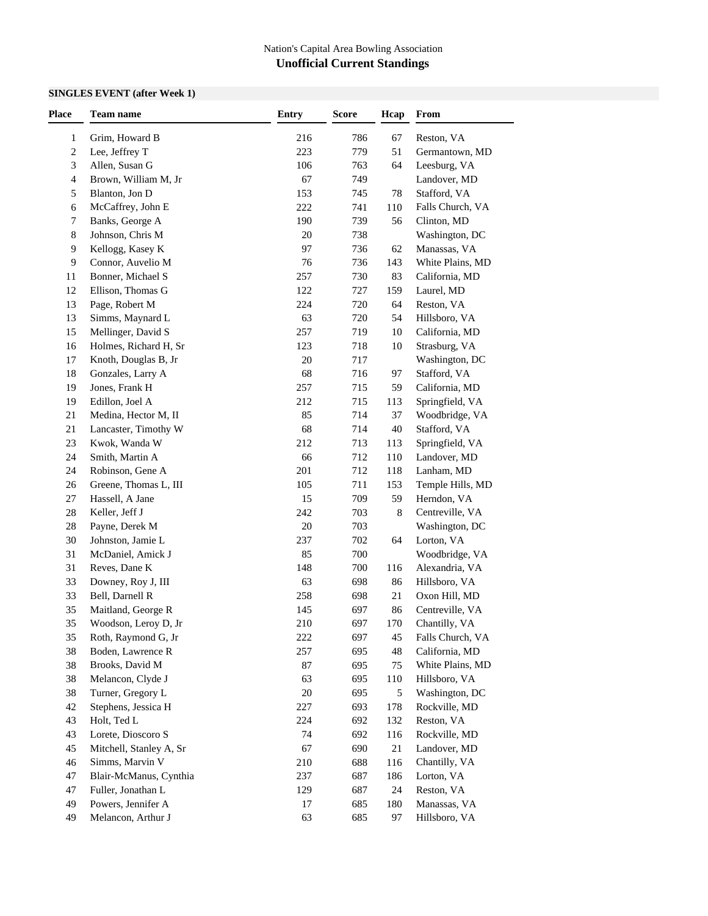### **SINGLES EVENT (after Week 1)**

| Grim, Howard B<br>216<br>67<br>Reston, VA<br>1<br>786<br>223<br>51<br>$\overline{c}$<br>Lee, Jeffrey T<br>779<br>Germantown, MD<br>Allen, Susan G<br>3<br>106<br>763<br>Leesburg, VA<br>64<br>Brown, William M, Jr<br>67<br>Landover, MD<br>4<br>749<br>153<br>Blanton, Jon D<br>745<br>Stafford, VA<br>5<br>78<br>222<br>McCaffrey, John E<br>Falls Church, VA<br>741<br>110<br>6<br>190<br>Banks, George A<br>739<br>56<br>Clinton, MD<br>7<br>$20\,$<br>8<br>Johnson, Chris M<br>738<br>Washington, DC<br>97<br>Kellogg, Kasey K<br>736<br>Manassas, VA<br>9<br>62<br>76<br>Connor, Auvelio M<br>736<br>143<br>White Plains, MD<br>9<br>257<br>Bonner, Michael S<br>730<br>83<br>California, MD<br>11<br>Ellison, Thomas G<br>122<br>12<br>727<br>159<br>Laurel, MD<br>13<br>Page, Robert M<br>224<br>720<br>Reston, VA<br>64<br>13<br>Simms, Maynard L<br>63<br>720<br>54<br>Hillsboro, VA<br>15<br>Mellinger, David S<br>257<br>719<br>$10\,$<br>California, MD<br>Holmes, Richard H, Sr<br>123<br>718<br>Strasburg, VA<br>16<br>10<br>$20\,$<br>17<br>Knoth, Douglas B, Jr<br>717<br>Washington, DC<br>68<br>18<br>Gonzales, Larry A<br>716<br>Stafford, VA<br>97<br>Jones, Frank H<br>19<br>257<br>715<br>California, MD<br>59<br>212<br>Edillon, Joel A<br>715<br>Springfield, VA<br>19<br>113<br>85<br>21<br>Medina, Hector M, II<br>714<br>37<br>Woodbridge, VA<br>68<br>21<br>Lancaster, Timothy W<br>714<br>40<br>Stafford, VA<br>23<br>Kwok, Wanda W<br>212<br>713<br>Springfield, VA<br>113<br>66<br>24<br>Smith, Martin A<br>712<br>110<br>Landover, MD<br>24<br>Robinson, Gene A<br>201<br>712<br>118<br>Lanham, MD<br>26<br>Greene, Thomas L, III<br>105<br>711<br>153<br>Temple Hills, MD<br>15<br>27<br>Hassell, A Jane<br>709<br>59<br>Herndon, VA<br>$28\,$<br>Keller, Jeff J<br>242<br>703<br>8<br>Centreville, VA<br>$20\,$<br>$28\,$<br>Payne, Derek M<br>703<br>Washington, DC<br>30<br>Johnston, Jamie L<br>237<br>702<br>Lorton, VA<br>64<br>85<br>31<br>McDaniel, Amick J<br>700<br>Woodbridge, VA<br>Reves, Dane K<br>148<br>Alexandria, VA<br>31<br>700<br>116<br>33<br>Downey, Roy J, III<br>63<br>698<br>86<br>Hillsboro, VA<br>33<br>Bell, Darnell R<br>258<br>21<br>Oxon Hill, MD<br>698<br>35<br>Maitland, George R<br>145<br>697<br>86<br>Centreville, VA<br>35<br>$210\,$<br>697<br>170<br>Woodson, Leroy D, Jr<br>Chantilly, VA<br>Roth, Raymond G, Jr<br>222<br>697<br>45<br>Falls Church, VA<br>35<br>Boden, Lawrence R<br>257<br>38<br>695<br>48<br>California, MD<br>87<br>38<br>Brooks, David M<br>White Plains, MD<br>695<br>75<br>38<br>Melancon, Clyde J<br>63<br>695<br>110<br>Hillsboro, VA<br>Turner, Gregory L<br>$20\,$<br>38<br>695<br>5<br>Washington, DC<br>Stephens, Jessica H<br>42<br>227<br>693<br>178<br>Rockville, MD<br>Holt, Ted L<br>224<br>692<br>132<br>Reston, VA<br>43<br>Lorete, Dioscoro S<br>74<br>116<br>Rockville, MD<br>43<br>692<br>67<br>45<br>Mitchell, Stanley A, Sr<br>690<br>21<br>Landover, MD<br>Simms, Marvin V<br>210<br>Chantilly, VA<br>46<br>688<br>116<br>Blair-McManus, Cynthia<br>237<br>687<br>186<br>Lorton, VA<br>47<br>Fuller, Jonathan L<br>129<br>687<br>24<br>Reston, VA<br>47 | Place | <b>Team name</b>   | <b>Entry</b> | <b>Score</b> | Hcap | From         |
|--------------------------------------------------------------------------------------------------------------------------------------------------------------------------------------------------------------------------------------------------------------------------------------------------------------------------------------------------------------------------------------------------------------------------------------------------------------------------------------------------------------------------------------------------------------------------------------------------------------------------------------------------------------------------------------------------------------------------------------------------------------------------------------------------------------------------------------------------------------------------------------------------------------------------------------------------------------------------------------------------------------------------------------------------------------------------------------------------------------------------------------------------------------------------------------------------------------------------------------------------------------------------------------------------------------------------------------------------------------------------------------------------------------------------------------------------------------------------------------------------------------------------------------------------------------------------------------------------------------------------------------------------------------------------------------------------------------------------------------------------------------------------------------------------------------------------------------------------------------------------------------------------------------------------------------------------------------------------------------------------------------------------------------------------------------------------------------------------------------------------------------------------------------------------------------------------------------------------------------------------------------------------------------------------------------------------------------------------------------------------------------------------------------------------------------------------------------------------------------------------------------------------------------------------------------------------------------------------------------------------------------------------------------------------------------------------------------------------------------------------------------------------------------------------------------------------------------------------------------------------------------------------------------------------------------------------------------------------------------------------------------------------------------------------------------------------------------------------------------------------------------------------------------------------------|-------|--------------------|--------------|--------------|------|--------------|
|                                                                                                                                                                                                                                                                                                                                                                                                                                                                                                                                                                                                                                                                                                                                                                                                                                                                                                                                                                                                                                                                                                                                                                                                                                                                                                                                                                                                                                                                                                                                                                                                                                                                                                                                                                                                                                                                                                                                                                                                                                                                                                                                                                                                                                                                                                                                                                                                                                                                                                                                                                                                                                                                                                                                                                                                                                                                                                                                                                                                                                                                                                                                                                                |       |                    |              |              |      |              |
|                                                                                                                                                                                                                                                                                                                                                                                                                                                                                                                                                                                                                                                                                                                                                                                                                                                                                                                                                                                                                                                                                                                                                                                                                                                                                                                                                                                                                                                                                                                                                                                                                                                                                                                                                                                                                                                                                                                                                                                                                                                                                                                                                                                                                                                                                                                                                                                                                                                                                                                                                                                                                                                                                                                                                                                                                                                                                                                                                                                                                                                                                                                                                                                |       |                    |              |              |      |              |
|                                                                                                                                                                                                                                                                                                                                                                                                                                                                                                                                                                                                                                                                                                                                                                                                                                                                                                                                                                                                                                                                                                                                                                                                                                                                                                                                                                                                                                                                                                                                                                                                                                                                                                                                                                                                                                                                                                                                                                                                                                                                                                                                                                                                                                                                                                                                                                                                                                                                                                                                                                                                                                                                                                                                                                                                                                                                                                                                                                                                                                                                                                                                                                                |       |                    |              |              |      |              |
|                                                                                                                                                                                                                                                                                                                                                                                                                                                                                                                                                                                                                                                                                                                                                                                                                                                                                                                                                                                                                                                                                                                                                                                                                                                                                                                                                                                                                                                                                                                                                                                                                                                                                                                                                                                                                                                                                                                                                                                                                                                                                                                                                                                                                                                                                                                                                                                                                                                                                                                                                                                                                                                                                                                                                                                                                                                                                                                                                                                                                                                                                                                                                                                |       |                    |              |              |      |              |
|                                                                                                                                                                                                                                                                                                                                                                                                                                                                                                                                                                                                                                                                                                                                                                                                                                                                                                                                                                                                                                                                                                                                                                                                                                                                                                                                                                                                                                                                                                                                                                                                                                                                                                                                                                                                                                                                                                                                                                                                                                                                                                                                                                                                                                                                                                                                                                                                                                                                                                                                                                                                                                                                                                                                                                                                                                                                                                                                                                                                                                                                                                                                                                                |       |                    |              |              |      |              |
|                                                                                                                                                                                                                                                                                                                                                                                                                                                                                                                                                                                                                                                                                                                                                                                                                                                                                                                                                                                                                                                                                                                                                                                                                                                                                                                                                                                                                                                                                                                                                                                                                                                                                                                                                                                                                                                                                                                                                                                                                                                                                                                                                                                                                                                                                                                                                                                                                                                                                                                                                                                                                                                                                                                                                                                                                                                                                                                                                                                                                                                                                                                                                                                |       |                    |              |              |      |              |
|                                                                                                                                                                                                                                                                                                                                                                                                                                                                                                                                                                                                                                                                                                                                                                                                                                                                                                                                                                                                                                                                                                                                                                                                                                                                                                                                                                                                                                                                                                                                                                                                                                                                                                                                                                                                                                                                                                                                                                                                                                                                                                                                                                                                                                                                                                                                                                                                                                                                                                                                                                                                                                                                                                                                                                                                                                                                                                                                                                                                                                                                                                                                                                                |       |                    |              |              |      |              |
|                                                                                                                                                                                                                                                                                                                                                                                                                                                                                                                                                                                                                                                                                                                                                                                                                                                                                                                                                                                                                                                                                                                                                                                                                                                                                                                                                                                                                                                                                                                                                                                                                                                                                                                                                                                                                                                                                                                                                                                                                                                                                                                                                                                                                                                                                                                                                                                                                                                                                                                                                                                                                                                                                                                                                                                                                                                                                                                                                                                                                                                                                                                                                                                |       |                    |              |              |      |              |
|                                                                                                                                                                                                                                                                                                                                                                                                                                                                                                                                                                                                                                                                                                                                                                                                                                                                                                                                                                                                                                                                                                                                                                                                                                                                                                                                                                                                                                                                                                                                                                                                                                                                                                                                                                                                                                                                                                                                                                                                                                                                                                                                                                                                                                                                                                                                                                                                                                                                                                                                                                                                                                                                                                                                                                                                                                                                                                                                                                                                                                                                                                                                                                                |       |                    |              |              |      |              |
|                                                                                                                                                                                                                                                                                                                                                                                                                                                                                                                                                                                                                                                                                                                                                                                                                                                                                                                                                                                                                                                                                                                                                                                                                                                                                                                                                                                                                                                                                                                                                                                                                                                                                                                                                                                                                                                                                                                                                                                                                                                                                                                                                                                                                                                                                                                                                                                                                                                                                                                                                                                                                                                                                                                                                                                                                                                                                                                                                                                                                                                                                                                                                                                |       |                    |              |              |      |              |
|                                                                                                                                                                                                                                                                                                                                                                                                                                                                                                                                                                                                                                                                                                                                                                                                                                                                                                                                                                                                                                                                                                                                                                                                                                                                                                                                                                                                                                                                                                                                                                                                                                                                                                                                                                                                                                                                                                                                                                                                                                                                                                                                                                                                                                                                                                                                                                                                                                                                                                                                                                                                                                                                                                                                                                                                                                                                                                                                                                                                                                                                                                                                                                                |       |                    |              |              |      |              |
|                                                                                                                                                                                                                                                                                                                                                                                                                                                                                                                                                                                                                                                                                                                                                                                                                                                                                                                                                                                                                                                                                                                                                                                                                                                                                                                                                                                                                                                                                                                                                                                                                                                                                                                                                                                                                                                                                                                                                                                                                                                                                                                                                                                                                                                                                                                                                                                                                                                                                                                                                                                                                                                                                                                                                                                                                                                                                                                                                                                                                                                                                                                                                                                |       |                    |              |              |      |              |
|                                                                                                                                                                                                                                                                                                                                                                                                                                                                                                                                                                                                                                                                                                                                                                                                                                                                                                                                                                                                                                                                                                                                                                                                                                                                                                                                                                                                                                                                                                                                                                                                                                                                                                                                                                                                                                                                                                                                                                                                                                                                                                                                                                                                                                                                                                                                                                                                                                                                                                                                                                                                                                                                                                                                                                                                                                                                                                                                                                                                                                                                                                                                                                                |       |                    |              |              |      |              |
|                                                                                                                                                                                                                                                                                                                                                                                                                                                                                                                                                                                                                                                                                                                                                                                                                                                                                                                                                                                                                                                                                                                                                                                                                                                                                                                                                                                                                                                                                                                                                                                                                                                                                                                                                                                                                                                                                                                                                                                                                                                                                                                                                                                                                                                                                                                                                                                                                                                                                                                                                                                                                                                                                                                                                                                                                                                                                                                                                                                                                                                                                                                                                                                |       |                    |              |              |      |              |
|                                                                                                                                                                                                                                                                                                                                                                                                                                                                                                                                                                                                                                                                                                                                                                                                                                                                                                                                                                                                                                                                                                                                                                                                                                                                                                                                                                                                                                                                                                                                                                                                                                                                                                                                                                                                                                                                                                                                                                                                                                                                                                                                                                                                                                                                                                                                                                                                                                                                                                                                                                                                                                                                                                                                                                                                                                                                                                                                                                                                                                                                                                                                                                                |       |                    |              |              |      |              |
|                                                                                                                                                                                                                                                                                                                                                                                                                                                                                                                                                                                                                                                                                                                                                                                                                                                                                                                                                                                                                                                                                                                                                                                                                                                                                                                                                                                                                                                                                                                                                                                                                                                                                                                                                                                                                                                                                                                                                                                                                                                                                                                                                                                                                                                                                                                                                                                                                                                                                                                                                                                                                                                                                                                                                                                                                                                                                                                                                                                                                                                                                                                                                                                |       |                    |              |              |      |              |
|                                                                                                                                                                                                                                                                                                                                                                                                                                                                                                                                                                                                                                                                                                                                                                                                                                                                                                                                                                                                                                                                                                                                                                                                                                                                                                                                                                                                                                                                                                                                                                                                                                                                                                                                                                                                                                                                                                                                                                                                                                                                                                                                                                                                                                                                                                                                                                                                                                                                                                                                                                                                                                                                                                                                                                                                                                                                                                                                                                                                                                                                                                                                                                                |       |                    |              |              |      |              |
|                                                                                                                                                                                                                                                                                                                                                                                                                                                                                                                                                                                                                                                                                                                                                                                                                                                                                                                                                                                                                                                                                                                                                                                                                                                                                                                                                                                                                                                                                                                                                                                                                                                                                                                                                                                                                                                                                                                                                                                                                                                                                                                                                                                                                                                                                                                                                                                                                                                                                                                                                                                                                                                                                                                                                                                                                                                                                                                                                                                                                                                                                                                                                                                |       |                    |              |              |      |              |
|                                                                                                                                                                                                                                                                                                                                                                                                                                                                                                                                                                                                                                                                                                                                                                                                                                                                                                                                                                                                                                                                                                                                                                                                                                                                                                                                                                                                                                                                                                                                                                                                                                                                                                                                                                                                                                                                                                                                                                                                                                                                                                                                                                                                                                                                                                                                                                                                                                                                                                                                                                                                                                                                                                                                                                                                                                                                                                                                                                                                                                                                                                                                                                                |       |                    |              |              |      |              |
|                                                                                                                                                                                                                                                                                                                                                                                                                                                                                                                                                                                                                                                                                                                                                                                                                                                                                                                                                                                                                                                                                                                                                                                                                                                                                                                                                                                                                                                                                                                                                                                                                                                                                                                                                                                                                                                                                                                                                                                                                                                                                                                                                                                                                                                                                                                                                                                                                                                                                                                                                                                                                                                                                                                                                                                                                                                                                                                                                                                                                                                                                                                                                                                |       |                    |              |              |      |              |
|                                                                                                                                                                                                                                                                                                                                                                                                                                                                                                                                                                                                                                                                                                                                                                                                                                                                                                                                                                                                                                                                                                                                                                                                                                                                                                                                                                                                                                                                                                                                                                                                                                                                                                                                                                                                                                                                                                                                                                                                                                                                                                                                                                                                                                                                                                                                                                                                                                                                                                                                                                                                                                                                                                                                                                                                                                                                                                                                                                                                                                                                                                                                                                                |       |                    |              |              |      |              |
|                                                                                                                                                                                                                                                                                                                                                                                                                                                                                                                                                                                                                                                                                                                                                                                                                                                                                                                                                                                                                                                                                                                                                                                                                                                                                                                                                                                                                                                                                                                                                                                                                                                                                                                                                                                                                                                                                                                                                                                                                                                                                                                                                                                                                                                                                                                                                                                                                                                                                                                                                                                                                                                                                                                                                                                                                                                                                                                                                                                                                                                                                                                                                                                |       |                    |              |              |      |              |
|                                                                                                                                                                                                                                                                                                                                                                                                                                                                                                                                                                                                                                                                                                                                                                                                                                                                                                                                                                                                                                                                                                                                                                                                                                                                                                                                                                                                                                                                                                                                                                                                                                                                                                                                                                                                                                                                                                                                                                                                                                                                                                                                                                                                                                                                                                                                                                                                                                                                                                                                                                                                                                                                                                                                                                                                                                                                                                                                                                                                                                                                                                                                                                                |       |                    |              |              |      |              |
|                                                                                                                                                                                                                                                                                                                                                                                                                                                                                                                                                                                                                                                                                                                                                                                                                                                                                                                                                                                                                                                                                                                                                                                                                                                                                                                                                                                                                                                                                                                                                                                                                                                                                                                                                                                                                                                                                                                                                                                                                                                                                                                                                                                                                                                                                                                                                                                                                                                                                                                                                                                                                                                                                                                                                                                                                                                                                                                                                                                                                                                                                                                                                                                |       |                    |              |              |      |              |
|                                                                                                                                                                                                                                                                                                                                                                                                                                                                                                                                                                                                                                                                                                                                                                                                                                                                                                                                                                                                                                                                                                                                                                                                                                                                                                                                                                                                                                                                                                                                                                                                                                                                                                                                                                                                                                                                                                                                                                                                                                                                                                                                                                                                                                                                                                                                                                                                                                                                                                                                                                                                                                                                                                                                                                                                                                                                                                                                                                                                                                                                                                                                                                                |       |                    |              |              |      |              |
|                                                                                                                                                                                                                                                                                                                                                                                                                                                                                                                                                                                                                                                                                                                                                                                                                                                                                                                                                                                                                                                                                                                                                                                                                                                                                                                                                                                                                                                                                                                                                                                                                                                                                                                                                                                                                                                                                                                                                                                                                                                                                                                                                                                                                                                                                                                                                                                                                                                                                                                                                                                                                                                                                                                                                                                                                                                                                                                                                                                                                                                                                                                                                                                |       |                    |              |              |      |              |
|                                                                                                                                                                                                                                                                                                                                                                                                                                                                                                                                                                                                                                                                                                                                                                                                                                                                                                                                                                                                                                                                                                                                                                                                                                                                                                                                                                                                                                                                                                                                                                                                                                                                                                                                                                                                                                                                                                                                                                                                                                                                                                                                                                                                                                                                                                                                                                                                                                                                                                                                                                                                                                                                                                                                                                                                                                                                                                                                                                                                                                                                                                                                                                                |       |                    |              |              |      |              |
|                                                                                                                                                                                                                                                                                                                                                                                                                                                                                                                                                                                                                                                                                                                                                                                                                                                                                                                                                                                                                                                                                                                                                                                                                                                                                                                                                                                                                                                                                                                                                                                                                                                                                                                                                                                                                                                                                                                                                                                                                                                                                                                                                                                                                                                                                                                                                                                                                                                                                                                                                                                                                                                                                                                                                                                                                                                                                                                                                                                                                                                                                                                                                                                |       |                    |              |              |      |              |
|                                                                                                                                                                                                                                                                                                                                                                                                                                                                                                                                                                                                                                                                                                                                                                                                                                                                                                                                                                                                                                                                                                                                                                                                                                                                                                                                                                                                                                                                                                                                                                                                                                                                                                                                                                                                                                                                                                                                                                                                                                                                                                                                                                                                                                                                                                                                                                                                                                                                                                                                                                                                                                                                                                                                                                                                                                                                                                                                                                                                                                                                                                                                                                                |       |                    |              |              |      |              |
|                                                                                                                                                                                                                                                                                                                                                                                                                                                                                                                                                                                                                                                                                                                                                                                                                                                                                                                                                                                                                                                                                                                                                                                                                                                                                                                                                                                                                                                                                                                                                                                                                                                                                                                                                                                                                                                                                                                                                                                                                                                                                                                                                                                                                                                                                                                                                                                                                                                                                                                                                                                                                                                                                                                                                                                                                                                                                                                                                                                                                                                                                                                                                                                |       |                    |              |              |      |              |
|                                                                                                                                                                                                                                                                                                                                                                                                                                                                                                                                                                                                                                                                                                                                                                                                                                                                                                                                                                                                                                                                                                                                                                                                                                                                                                                                                                                                                                                                                                                                                                                                                                                                                                                                                                                                                                                                                                                                                                                                                                                                                                                                                                                                                                                                                                                                                                                                                                                                                                                                                                                                                                                                                                                                                                                                                                                                                                                                                                                                                                                                                                                                                                                |       |                    |              |              |      |              |
|                                                                                                                                                                                                                                                                                                                                                                                                                                                                                                                                                                                                                                                                                                                                                                                                                                                                                                                                                                                                                                                                                                                                                                                                                                                                                                                                                                                                                                                                                                                                                                                                                                                                                                                                                                                                                                                                                                                                                                                                                                                                                                                                                                                                                                                                                                                                                                                                                                                                                                                                                                                                                                                                                                                                                                                                                                                                                                                                                                                                                                                                                                                                                                                |       |                    |              |              |      |              |
|                                                                                                                                                                                                                                                                                                                                                                                                                                                                                                                                                                                                                                                                                                                                                                                                                                                                                                                                                                                                                                                                                                                                                                                                                                                                                                                                                                                                                                                                                                                                                                                                                                                                                                                                                                                                                                                                                                                                                                                                                                                                                                                                                                                                                                                                                                                                                                                                                                                                                                                                                                                                                                                                                                                                                                                                                                                                                                                                                                                                                                                                                                                                                                                |       |                    |              |              |      |              |
|                                                                                                                                                                                                                                                                                                                                                                                                                                                                                                                                                                                                                                                                                                                                                                                                                                                                                                                                                                                                                                                                                                                                                                                                                                                                                                                                                                                                                                                                                                                                                                                                                                                                                                                                                                                                                                                                                                                                                                                                                                                                                                                                                                                                                                                                                                                                                                                                                                                                                                                                                                                                                                                                                                                                                                                                                                                                                                                                                                                                                                                                                                                                                                                |       |                    |              |              |      |              |
|                                                                                                                                                                                                                                                                                                                                                                                                                                                                                                                                                                                                                                                                                                                                                                                                                                                                                                                                                                                                                                                                                                                                                                                                                                                                                                                                                                                                                                                                                                                                                                                                                                                                                                                                                                                                                                                                                                                                                                                                                                                                                                                                                                                                                                                                                                                                                                                                                                                                                                                                                                                                                                                                                                                                                                                                                                                                                                                                                                                                                                                                                                                                                                                |       |                    |              |              |      |              |
|                                                                                                                                                                                                                                                                                                                                                                                                                                                                                                                                                                                                                                                                                                                                                                                                                                                                                                                                                                                                                                                                                                                                                                                                                                                                                                                                                                                                                                                                                                                                                                                                                                                                                                                                                                                                                                                                                                                                                                                                                                                                                                                                                                                                                                                                                                                                                                                                                                                                                                                                                                                                                                                                                                                                                                                                                                                                                                                                                                                                                                                                                                                                                                                |       |                    |              |              |      |              |
|                                                                                                                                                                                                                                                                                                                                                                                                                                                                                                                                                                                                                                                                                                                                                                                                                                                                                                                                                                                                                                                                                                                                                                                                                                                                                                                                                                                                                                                                                                                                                                                                                                                                                                                                                                                                                                                                                                                                                                                                                                                                                                                                                                                                                                                                                                                                                                                                                                                                                                                                                                                                                                                                                                                                                                                                                                                                                                                                                                                                                                                                                                                                                                                |       |                    |              |              |      |              |
|                                                                                                                                                                                                                                                                                                                                                                                                                                                                                                                                                                                                                                                                                                                                                                                                                                                                                                                                                                                                                                                                                                                                                                                                                                                                                                                                                                                                                                                                                                                                                                                                                                                                                                                                                                                                                                                                                                                                                                                                                                                                                                                                                                                                                                                                                                                                                                                                                                                                                                                                                                                                                                                                                                                                                                                                                                                                                                                                                                                                                                                                                                                                                                                |       |                    |              |              |      |              |
|                                                                                                                                                                                                                                                                                                                                                                                                                                                                                                                                                                                                                                                                                                                                                                                                                                                                                                                                                                                                                                                                                                                                                                                                                                                                                                                                                                                                                                                                                                                                                                                                                                                                                                                                                                                                                                                                                                                                                                                                                                                                                                                                                                                                                                                                                                                                                                                                                                                                                                                                                                                                                                                                                                                                                                                                                                                                                                                                                                                                                                                                                                                                                                                |       |                    |              |              |      |              |
|                                                                                                                                                                                                                                                                                                                                                                                                                                                                                                                                                                                                                                                                                                                                                                                                                                                                                                                                                                                                                                                                                                                                                                                                                                                                                                                                                                                                                                                                                                                                                                                                                                                                                                                                                                                                                                                                                                                                                                                                                                                                                                                                                                                                                                                                                                                                                                                                                                                                                                                                                                                                                                                                                                                                                                                                                                                                                                                                                                                                                                                                                                                                                                                |       |                    |              |              |      |              |
|                                                                                                                                                                                                                                                                                                                                                                                                                                                                                                                                                                                                                                                                                                                                                                                                                                                                                                                                                                                                                                                                                                                                                                                                                                                                                                                                                                                                                                                                                                                                                                                                                                                                                                                                                                                                                                                                                                                                                                                                                                                                                                                                                                                                                                                                                                                                                                                                                                                                                                                                                                                                                                                                                                                                                                                                                                                                                                                                                                                                                                                                                                                                                                                |       |                    |              |              |      |              |
|                                                                                                                                                                                                                                                                                                                                                                                                                                                                                                                                                                                                                                                                                                                                                                                                                                                                                                                                                                                                                                                                                                                                                                                                                                                                                                                                                                                                                                                                                                                                                                                                                                                                                                                                                                                                                                                                                                                                                                                                                                                                                                                                                                                                                                                                                                                                                                                                                                                                                                                                                                                                                                                                                                                                                                                                                                                                                                                                                                                                                                                                                                                                                                                |       |                    |              |              |      |              |
|                                                                                                                                                                                                                                                                                                                                                                                                                                                                                                                                                                                                                                                                                                                                                                                                                                                                                                                                                                                                                                                                                                                                                                                                                                                                                                                                                                                                                                                                                                                                                                                                                                                                                                                                                                                                                                                                                                                                                                                                                                                                                                                                                                                                                                                                                                                                                                                                                                                                                                                                                                                                                                                                                                                                                                                                                                                                                                                                                                                                                                                                                                                                                                                |       |                    |              |              |      |              |
|                                                                                                                                                                                                                                                                                                                                                                                                                                                                                                                                                                                                                                                                                                                                                                                                                                                                                                                                                                                                                                                                                                                                                                                                                                                                                                                                                                                                                                                                                                                                                                                                                                                                                                                                                                                                                                                                                                                                                                                                                                                                                                                                                                                                                                                                                                                                                                                                                                                                                                                                                                                                                                                                                                                                                                                                                                                                                                                                                                                                                                                                                                                                                                                |       |                    |              |              |      |              |
|                                                                                                                                                                                                                                                                                                                                                                                                                                                                                                                                                                                                                                                                                                                                                                                                                                                                                                                                                                                                                                                                                                                                                                                                                                                                                                                                                                                                                                                                                                                                                                                                                                                                                                                                                                                                                                                                                                                                                                                                                                                                                                                                                                                                                                                                                                                                                                                                                                                                                                                                                                                                                                                                                                                                                                                                                                                                                                                                                                                                                                                                                                                                                                                |       |                    |              |              |      |              |
|                                                                                                                                                                                                                                                                                                                                                                                                                                                                                                                                                                                                                                                                                                                                                                                                                                                                                                                                                                                                                                                                                                                                                                                                                                                                                                                                                                                                                                                                                                                                                                                                                                                                                                                                                                                                                                                                                                                                                                                                                                                                                                                                                                                                                                                                                                                                                                                                                                                                                                                                                                                                                                                                                                                                                                                                                                                                                                                                                                                                                                                                                                                                                                                |       |                    |              |              |      |              |
|                                                                                                                                                                                                                                                                                                                                                                                                                                                                                                                                                                                                                                                                                                                                                                                                                                                                                                                                                                                                                                                                                                                                                                                                                                                                                                                                                                                                                                                                                                                                                                                                                                                                                                                                                                                                                                                                                                                                                                                                                                                                                                                                                                                                                                                                                                                                                                                                                                                                                                                                                                                                                                                                                                                                                                                                                                                                                                                                                                                                                                                                                                                                                                                |       |                    |              |              |      |              |
|                                                                                                                                                                                                                                                                                                                                                                                                                                                                                                                                                                                                                                                                                                                                                                                                                                                                                                                                                                                                                                                                                                                                                                                                                                                                                                                                                                                                                                                                                                                                                                                                                                                                                                                                                                                                                                                                                                                                                                                                                                                                                                                                                                                                                                                                                                                                                                                                                                                                                                                                                                                                                                                                                                                                                                                                                                                                                                                                                                                                                                                                                                                                                                                |       |                    |              |              |      |              |
|                                                                                                                                                                                                                                                                                                                                                                                                                                                                                                                                                                                                                                                                                                                                                                                                                                                                                                                                                                                                                                                                                                                                                                                                                                                                                                                                                                                                                                                                                                                                                                                                                                                                                                                                                                                                                                                                                                                                                                                                                                                                                                                                                                                                                                                                                                                                                                                                                                                                                                                                                                                                                                                                                                                                                                                                                                                                                                                                                                                                                                                                                                                                                                                | 49    | Powers, Jennifer A | 17           | 685          | 180  | Manassas, VA |
| Melancon, Arthur J<br>Hillsboro, VA<br>49<br>63<br>685<br>97                                                                                                                                                                                                                                                                                                                                                                                                                                                                                                                                                                                                                                                                                                                                                                                                                                                                                                                                                                                                                                                                                                                                                                                                                                                                                                                                                                                                                                                                                                                                                                                                                                                                                                                                                                                                                                                                                                                                                                                                                                                                                                                                                                                                                                                                                                                                                                                                                                                                                                                                                                                                                                                                                                                                                                                                                                                                                                                                                                                                                                                                                                                   |       |                    |              |              |      |              |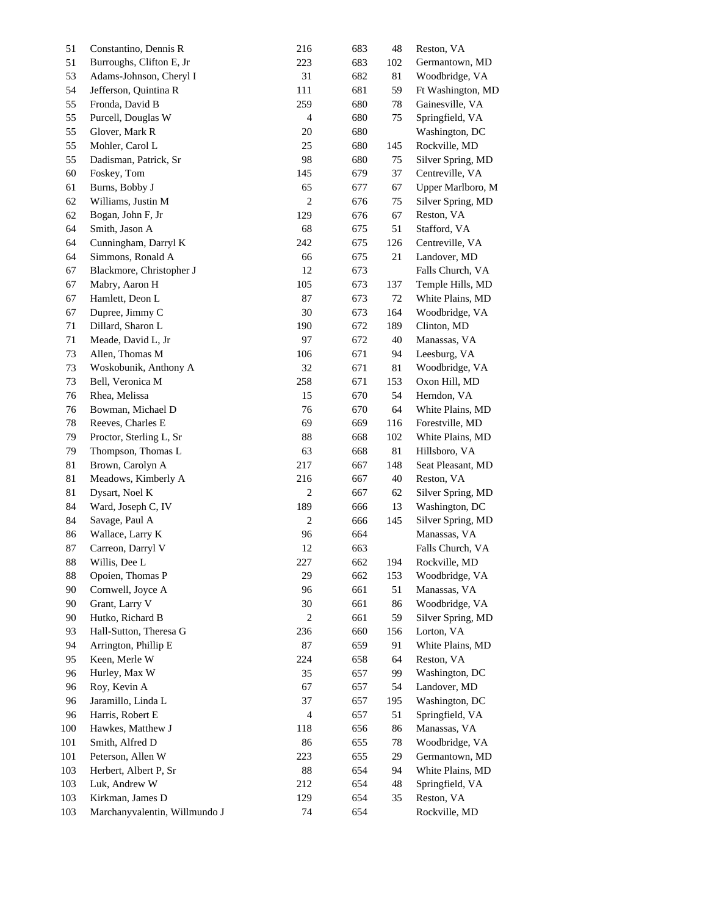| 51  | Constantino, Dennis R              | 216                     | 683 | 48  | Reston, VA        |
|-----|------------------------------------|-------------------------|-----|-----|-------------------|
| 51  | Burroughs, Clifton E, Jr           | 223                     | 683 | 102 | Germantown, MD    |
| 53  | Adams-Johnson, Cheryl I            | 31                      | 682 | 81  | Woodbridge, VA    |
| 54  | Jefferson, Quintina R              | 111                     | 681 | 59  | Ft Washington, MD |
| 55  | Fronda, David B                    | 259                     | 680 | 78  | Gainesville, VA   |
| 55  | Purcell, Douglas W                 | $\overline{4}$          | 680 | 75  | Springfield, VA   |
| 55  | Glover, Mark R                     | 20                      | 680 |     | Washington, DC    |
| 55  | Mohler, Carol L                    | 25                      | 680 | 145 | Rockville, MD     |
| 55  | Dadisman, Patrick, Sr              | 98                      | 680 | 75  | Silver Spring, MD |
| 60  | Foskey, Tom                        | 145                     | 679 | 37  | Centreville, VA   |
| 61  | Burns, Bobby J                     | 65                      | 677 | 67  | Upper Marlboro, M |
| 62  | Williams, Justin M                 | $\boldsymbol{2}$        | 676 | 75  | Silver Spring, MD |
| 62  | Bogan, John F, Jr                  | 129                     | 676 | 67  | Reston, VA        |
| 64  | Smith, Jason A                     | 68                      | 675 | 51  | Stafford, VA      |
| 64  | Cunningham, Darryl K               | 242                     | 675 | 126 | Centreville, VA   |
| 64  | Simmons, Ronald A                  | 66                      | 675 | 21  | Landover, MD      |
| 67  | Blackmore, Christopher J           | 12                      | 673 |     | Falls Church, VA  |
| 67  | Mabry, Aaron H                     | 105                     | 673 | 137 | Temple Hills, MD  |
| 67  | Hamlett, Deon L                    | 87                      | 673 | 72  | White Plains, MD  |
| 67  | Dupree, Jimmy C                    | 30                      | 673 | 164 | Woodbridge, VA    |
| 71  | Dillard, Sharon L                  | 190                     | 672 | 189 | Clinton, MD       |
| 71  | Meade, David L, Jr                 | 97                      | 672 | 40  | Manassas, VA      |
| 73  | Allen, Thomas M                    | 106                     | 671 | 94  | Leesburg, VA      |
| 73  | Woskobunik, Anthony A              | 32                      | 671 | 81  | Woodbridge, VA    |
| 73  | Bell, Veronica M                   | 258                     | 671 | 153 | Oxon Hill, MD     |
| 76  | Rhea, Melissa                      | 15                      | 670 | 54  | Herndon, VA       |
| 76  | Bowman, Michael D                  | 76                      | 670 | 64  | White Plains, MD  |
| 78  | Reeves, Charles E                  | 69                      | 669 | 116 | Forestville, MD   |
| 79  | Proctor, Sterling L, Sr            | 88                      | 668 | 102 | White Plains, MD  |
| 79  | Thompson, Thomas L                 | 63                      | 668 | 81  | Hillsboro, VA     |
| 81  | Brown, Carolyn A                   | 217                     | 667 | 148 | Seat Pleasant, MD |
| 81  | Meadows, Kimberly A                | 216                     | 667 | 40  | Reston, VA        |
| 81  | Dysart, Noel K                     | $\overline{\mathbf{c}}$ | 667 | 62  | Silver Spring, MD |
| 84  | Ward, Joseph C, IV                 | 189                     | 666 | 13  | Washington, DC    |
| 84  | Savage, Paul A                     | $\overline{2}$          | 666 | 145 | Silver Spring, MD |
| 86  | Wallace, Larry K                   | 96                      | 664 |     | Manassas, VA      |
| 87  | Carreon, Darryl V                  | 12                      | 663 |     | Falls Church, VA  |
| 88  | Willis, Dee L                      | $227\,$                 | 662 | 194 | Rockville, MD     |
| 88  | Opoien, Thomas P                   | 29                      | 662 | 153 | Woodbridge, VA    |
| 90  | Cornwell, Joyce A                  | 96                      | 661 | 51  | Manassas, VA      |
| 90  | Grant, Larry V                     | 30                      | 661 | 86  | Woodbridge, VA    |
| 90  | Hutko, Richard B                   | 2                       | 661 | 59  | Silver Spring, MD |
| 93  | Hall-Sutton, Theresa G             | 236                     | 660 | 156 | Lorton, VA        |
| 94  | Arrington, Phillip E               | 87                      | 659 | 91  | White Plains, MD  |
| 95  | Keen, Merle W                      | 224                     | 658 | 64  | Reston, VA        |
| 96  |                                    | 35                      | 657 | 99  | Washington, DC    |
| 96  | Hurley, Max W                      | 67                      | 657 | 54  | Landover, MD      |
|     | Roy, Kevin A<br>Jaramillo, Linda L | 37                      |     |     |                   |
| 96  |                                    |                         | 657 | 195 | Washington, DC    |
| 96  | Harris, Robert E                   | 4                       | 657 | 51  | Springfield, VA   |
| 100 | Hawkes, Matthew J                  | 118                     | 656 | 86  | Manassas, VA      |
| 101 | Smith, Alfred D                    | 86                      | 655 | 78  | Woodbridge, VA    |
| 101 | Peterson, Allen W                  | 223                     | 655 | 29  | Germantown, MD    |
| 103 | Herbert, Albert P, Sr              | 88                      | 654 | 94  | White Plains, MD  |
| 103 | Luk, Andrew W                      | 212                     | 654 | 48  | Springfield, VA   |
| 103 | Kirkman, James D                   | 129                     | 654 | 35  | Reston, VA        |
| 103 | Marchanyvalentin, Willmundo J      | 74                      | 654 |     | Rockville, MD     |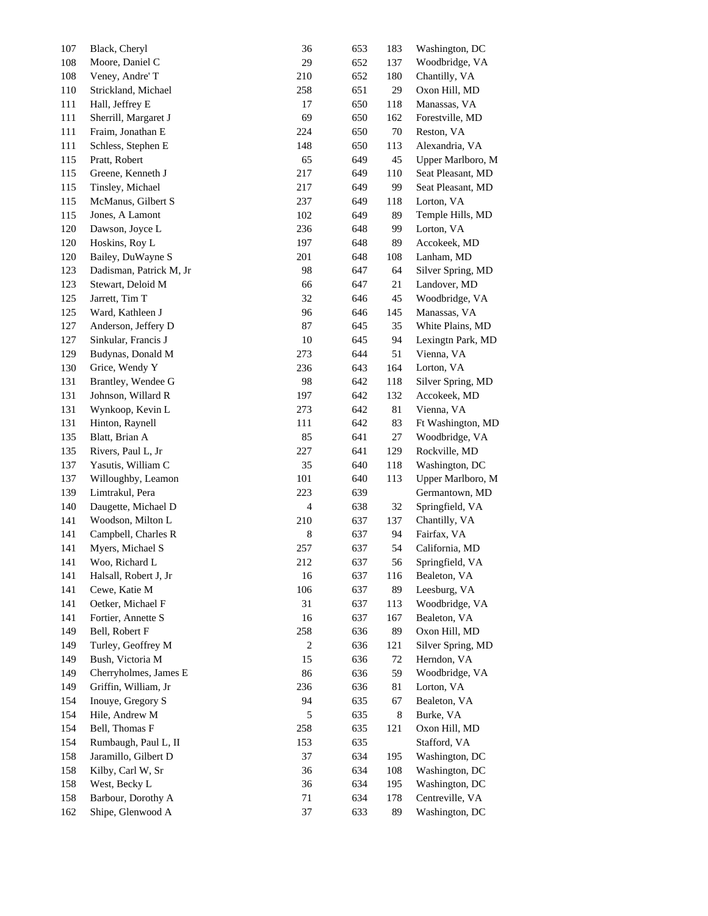| 107 | Black, Cheryl           | 36             | 653 | 183 | Washington, DC    |
|-----|-------------------------|----------------|-----|-----|-------------------|
| 108 | Moore, Daniel C         | 29             | 652 | 137 | Woodbridge, VA    |
| 108 | Veney, Andre' T         | 210            | 652 | 180 | Chantilly, VA     |
| 110 | Strickland, Michael     | 258            | 651 | 29  | Oxon Hill, MD     |
| 111 | Hall, Jeffrey E         | 17             | 650 | 118 | Manassas, VA      |
| 111 | Sherrill, Margaret J    | 69             | 650 | 162 | Forestville, MD   |
| 111 | Fraim, Jonathan E       | 224            | 650 | 70  | Reston, VA        |
| 111 | Schless, Stephen E      | 148            | 650 | 113 | Alexandria, VA    |
| 115 | Pratt, Robert           | 65             | 649 | 45  | Upper Marlboro, M |
| 115 | Greene, Kenneth J       | 217            | 649 | 110 | Seat Pleasant, MD |
| 115 | Tinsley, Michael        | 217            | 649 | 99  | Seat Pleasant, MD |
| 115 | McManus, Gilbert S      | 237            | 649 | 118 | Lorton, VA        |
| 115 | Jones, A Lamont         | 102            | 649 | 89  | Temple Hills, MD  |
| 120 | Dawson, Joyce L         | 236            | 648 | 99  | Lorton, VA        |
| 120 | Hoskins, Roy L          | 197            | 648 | 89  | Accokeek, MD      |
| 120 | Bailey, DuWayne S       | 201            | 648 | 108 | Lanham, MD        |
| 123 | Dadisman, Patrick M, Jr | 98             | 647 | 64  | Silver Spring, MD |
|     |                         |                |     |     |                   |
| 123 | Stewart, Deloid M       | 66             | 647 | 21  | Landover, MD      |
| 125 | Jarrett, Tim T          | 32             | 646 | 45  | Woodbridge, VA    |
| 125 | Ward, Kathleen J        | 96             | 646 | 145 | Manassas, VA      |
| 127 | Anderson, Jeffery D     | 87             | 645 | 35  | White Plains, MD  |
| 127 | Sinkular, Francis J     | 10             | 645 | 94  | Lexingtn Park, MD |
| 129 | Budynas, Donald M       | 273            | 644 | 51  | Vienna, VA        |
| 130 | Grice, Wendy Y          | 236            | 643 | 164 | Lorton, VA        |
| 131 | Brantley, Wendee G      | 98             | 642 | 118 | Silver Spring, MD |
| 131 | Johnson, Willard R      | 197            | 642 | 132 | Accokeek, MD      |
| 131 | Wynkoop, Kevin L        | 273            | 642 | 81  | Vienna, VA        |
| 131 | Hinton, Raynell         | 111            | 642 | 83  | Ft Washington, MD |
| 135 | Blatt, Brian A          | 85             | 641 | 27  | Woodbridge, VA    |
| 135 | Rivers, Paul L, Jr      | 227            | 641 | 129 | Rockville, MD     |
| 137 | Yasutis, William C      | 35             | 640 | 118 | Washington, DC    |
| 137 | Willoughby, Leamon      | 101            | 640 | 113 | Upper Marlboro, M |
| 139 | Limtrakul, Pera         | 223            | 639 |     | Germantown, MD    |
| 140 | Daugette, Michael D     | 4              | 638 | 32  | Springfield, VA   |
| 141 | Woodson, Milton L       | 210            | 637 | 137 | Chantilly, VA     |
| 141 | Campbell, Charles R     | 8              | 637 | 94  | Fairfax, VA       |
| 141 | Myers, Michael S        | 257            | 637 | 54  | California, MD    |
| 141 | Woo, Richard L          | 212            | 637 | 56  | Springfield, VA   |
| 141 | Halsall, Robert J, Jr   | 16             | 637 | 116 | Bealeton, VA      |
| 141 | Cewe, Katie M           | 106            | 637 | 89  | Leesburg, VA      |
| 141 | Oetker, Michael F       | 31             | 637 | 113 | Woodbridge, VA    |
| 141 | Fortier, Annette S      | 16             | 637 | 167 | Bealeton, VA      |
| 149 | Bell, Robert F          | 258            | 636 | 89  | Oxon Hill, MD     |
| 149 | Turley, Geoffrey M      | $\overline{c}$ | 636 | 121 | Silver Spring, MD |
| 149 | Bush, Victoria M        | 15             | 636 | 72  | Herndon, VA       |
| 149 | Cherryholmes, James E   | 86             | 636 | 59  | Woodbridge, VA    |
| 149 | Griffin, William, Jr    | 236            | 636 | 81  | Lorton, VA        |
| 154 | Inouye, Gregory S       | 94             | 635 | 67  | Bealeton, VA      |
| 154 | Hile, Andrew M          | 5              | 635 | 8   | Burke, VA         |
| 154 | Bell, Thomas F          | 258            | 635 | 121 | Oxon Hill, MD     |
| 154 | Rumbaugh, Paul L, II    | 153            | 635 |     | Stafford, VA      |
| 158 | Jaramillo, Gilbert D    | 37             | 634 | 195 | Washington, DC    |
| 158 | Kilby, Carl W, Sr       | 36             | 634 | 108 | Washington, DC    |
| 158 | West, Becky L           | 36             | 634 | 195 | Washington, DC    |
| 158 | Barbour, Dorothy A      | 71             | 634 | 178 | Centreville, VA   |
| 162 | Shipe, Glenwood A       | 37             | 633 | 89  | Washington, DC    |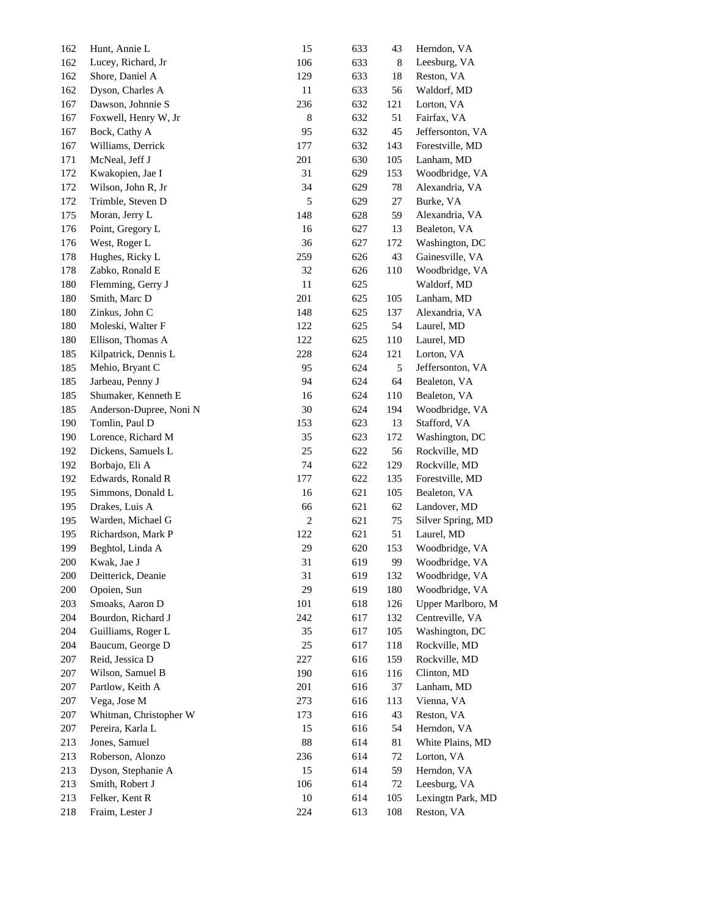| 162 | Hunt, Annie L                     | 15             | 633 | 43  | Herndon, VA       |
|-----|-----------------------------------|----------------|-----|-----|-------------------|
| 162 | Lucey, Richard, Jr                | 106            | 633 | 8   | Leesburg, VA      |
| 162 | Shore, Daniel A                   | 129            | 633 | 18  | Reston, VA        |
| 162 | Dyson, Charles A                  | 11             | 633 | 56  | Waldorf, MD       |
| 167 | Dawson, Johnnie S                 | 236            | 632 | 121 | Lorton, VA        |
| 167 | Foxwell, Henry W, Jr              | 8              | 632 | 51  | Fairfax, VA       |
| 167 | Bock, Cathy A                     | 95             | 632 | 45  | Jeffersonton, VA  |
| 167 | Williams, Derrick                 | 177            | 632 | 143 | Forestville, MD   |
| 171 | McNeal, Jeff J                    | 201            | 630 | 105 | Lanham, MD        |
| 172 | Kwakopien, Jae I                  | 31             | 629 | 153 | Woodbridge, VA    |
| 172 | Wilson, John R, Jr                | 34             | 629 | 78  | Alexandria, VA    |
| 172 | Trimble, Steven D                 | 5              | 629 | 27  | Burke, VA         |
| 175 | Moran, Jerry L                    | 148            | 628 | 59  | Alexandria, VA    |
| 176 | Point, Gregory L                  | 16             | 627 | 13  | Bealeton, VA      |
| 176 | West, Roger L                     | 36             | 627 | 172 | Washington, DC    |
|     |                                   |                |     |     |                   |
| 178 | Hughes, Ricky L                   | 259            | 626 | 43  | Gainesville, VA   |
| 178 | Zabko, Ronald E                   | 32             | 626 | 110 | Woodbridge, VA    |
| 180 | Flemming, Gerry J                 | 11             | 625 |     | Waldorf, MD       |
| 180 | Smith, Marc D                     | 201            | 625 | 105 | Lanham, MD        |
| 180 | Zinkus, John C                    | 148            | 625 | 137 | Alexandria, VA    |
| 180 | Moleski, Walter F                 | 122            | 625 | 54  | Laurel, MD        |
| 180 | Ellison, Thomas A                 | 122            | 625 | 110 | Laurel, MD        |
| 185 | Kilpatrick, Dennis L              | 228            | 624 | 121 | Lorton, VA        |
| 185 | Mehio, Bryant C                   | 95             | 624 | 5   | Jeffersonton, VA  |
| 185 | Jarbeau, Penny J                  | 94             | 624 | 64  | Bealeton, VA      |
| 185 | Shumaker, Kenneth E               | 16             | 624 | 110 | Bealeton, VA      |
| 185 | Anderson-Dupree, Noni N           | 30             | 624 | 194 | Woodbridge, VA    |
| 190 | Tomlin, Paul D                    | 153            | 623 | 13  | Stafford, VA      |
| 190 | Lorence, Richard M                | 35             | 623 | 172 | Washington, DC    |
| 192 | Dickens, Samuels L                | 25             | 622 | 56  | Rockville, MD     |
| 192 | Borbajo, Eli A                    | 74             | 622 | 129 | Rockville, MD     |
| 192 | Edwards, Ronald R                 | 177            | 622 | 135 | Forestville, MD   |
| 195 | Simmons, Donald L                 | 16             | 621 | 105 | Bealeton, VA      |
| 195 | Drakes, Luis A                    | 66             | 621 | 62  | Landover, MD      |
| 195 | Warden, Michael G                 | $\overline{c}$ | 621 | 75  | Silver Spring, MD |
| 195 | Richardson, Mark P                | 122            | 621 | 51  | Laurel, MD        |
| 199 | Beghtol, Linda A                  | 29             | 620 | 153 | Woodbridge, VA    |
| 200 | Kwak, Jae J                       | 31             | 619 | 99  | Woodbridge, VA    |
| 200 | Deitterick, Deanie                | 31             | 619 | 132 | Woodbridge, VA    |
| 200 | Opoien, Sun                       | 29             | 619 | 180 | Woodbridge, VA    |
| 203 | Smoaks, Aaron D                   | 101            | 618 | 126 | Upper Marlboro, M |
| 204 | Bourdon, Richard J                | 242            | 617 | 132 | Centreville, VA   |
| 204 | Guilliams, Roger L                | 35             | 617 | 105 | Washington, DC    |
| 204 | Baucum, George D                  | 25             | 617 | 118 | Rockville, MD     |
| 207 | Reid, Jessica D                   | 227            | 616 | 159 | Rockville, MD     |
| 207 | Wilson, Samuel B                  | 190            | 616 | 116 | Clinton, MD       |
| 207 | Partlow, Keith A                  | 201            | 616 | 37  | Lanham, MD        |
| 207 | Vega, Jose M                      | 273            | 616 | 113 | Vienna, VA        |
| 207 | Whitman, Christopher W            | 173            | 616 | 43  | Reston, VA        |
|     |                                   | 15             | 616 | 54  | Herndon, VA       |
| 207 | Pereira, Karla L<br>Jones, Samuel | 88             | 614 | 81  | White Plains, MD  |
| 213 |                                   |                |     |     |                   |
| 213 | Roberson, Alonzo                  | 236            | 614 | 72  | Lorton, VA        |
| 213 | Dyson, Stephanie A                | 15             | 614 | 59  | Herndon, VA       |
| 213 | Smith, Robert J                   | 106            | 614 | 72  | Leesburg, VA      |
| 213 | Felker, Kent R                    | 10             | 614 | 105 | Lexingtn Park, MD |
| 218 | Fraim, Lester J                   | 224            | 613 | 108 | Reston, VA        |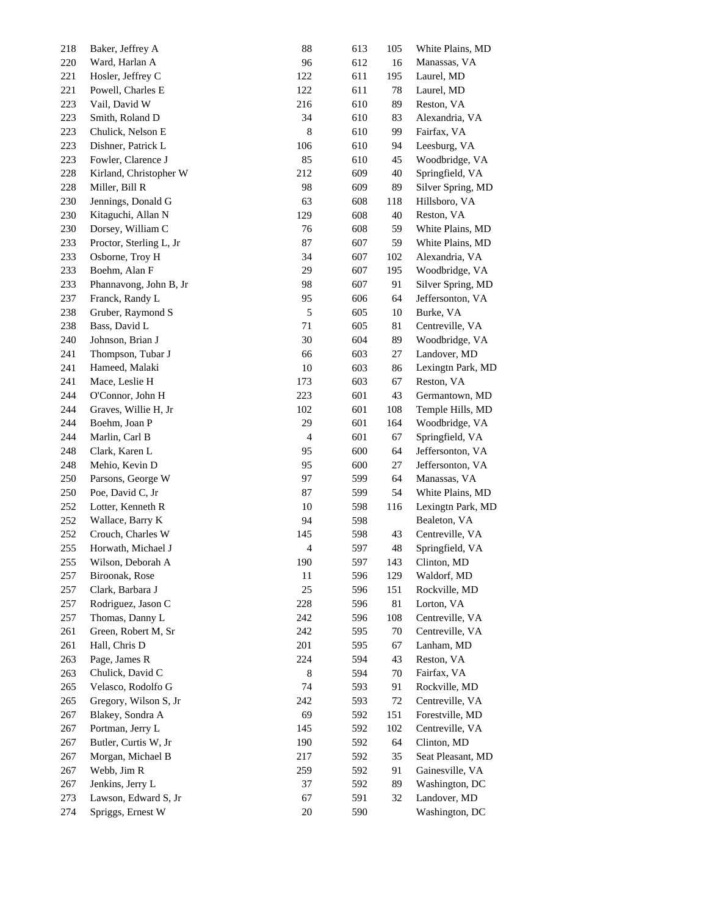| 218 | Baker, Jeffrey A        | 88  | 613 | 105 | White Plains, MD  |
|-----|-------------------------|-----|-----|-----|-------------------|
| 220 | Ward, Harlan A          | 96  | 612 | 16  | Manassas, VA      |
| 221 | Hosler, Jeffrey C       | 122 | 611 | 195 | Laurel, MD        |
| 221 | Powell, Charles E       | 122 | 611 | 78  | Laurel, MD        |
| 223 | Vail, David W           | 216 | 610 | 89  | Reston, VA        |
| 223 | Smith, Roland D         | 34  | 610 | 83  | Alexandria, VA    |
| 223 | Chulick, Nelson E       | 8   | 610 | 99  | Fairfax, VA       |
| 223 | Dishner, Patrick L      | 106 | 610 | 94  | Leesburg, VA      |
| 223 | Fowler, Clarence J      | 85  | 610 | 45  | Woodbridge, VA    |
| 228 | Kirland, Christopher W  | 212 | 609 | 40  | Springfield, VA   |
| 228 | Miller, Bill R          | 98  | 609 | 89  | Silver Spring, MD |
| 230 | Jennings, Donald G      | 63  | 608 | 118 | Hillsboro, VA     |
| 230 | Kitaguchi, Allan N      | 129 | 608 | 40  | Reston, VA        |
| 230 | Dorsey, William C       | 76  | 608 | 59  | White Plains, MD  |
| 233 | Proctor, Sterling L, Jr | 87  | 607 | 59  | White Plains, MD  |
| 233 | Osborne, Troy H         | 34  | 607 | 102 | Alexandria, VA    |
| 233 | Boehm, Alan F           | 29  | 607 | 195 | Woodbridge, VA    |
| 233 | Phannavong, John B, Jr  | 98  | 607 | 91  | Silver Spring, MD |
| 237 | Franck, Randy L         | 95  | 606 | 64  | Jeffersonton, VA  |
| 238 | Gruber, Raymond S       | 5   | 605 | 10  | Burke, VA         |
| 238 | Bass, David L           | 71  | 605 | 81  | Centreville, VA   |
| 240 | Johnson, Brian J        | 30  | 604 | 89  | Woodbridge, VA    |
| 241 | Thompson, Tubar J       | 66  | 603 | 27  | Landover, MD      |
| 241 | Hameed, Malaki          | 10  | 603 | 86  | Lexingtn Park, MD |
| 241 | Mace, Leslie H          | 173 | 603 | 67  | Reston, VA        |
| 244 | O'Connor, John H        | 223 | 601 | 43  | Germantown, MD    |
| 244 | Graves, Willie H, Jr    | 102 | 601 | 108 | Temple Hills, MD  |
| 244 | Boehm, Joan P           | 29  | 601 | 164 | Woodbridge, VA    |
| 244 | Marlin, Carl B          | 4   | 601 | 67  | Springfield, VA   |
| 248 | Clark, Karen L          | 95  | 600 | 64  | Jeffersonton, VA  |
| 248 | Mehio, Kevin D          | 95  | 600 | 27  | Jeffersonton, VA  |
| 250 | Parsons, George W       | 97  | 599 | 64  | Manassas, VA      |
| 250 | Poe, David C, Jr        | 87  | 599 | 54  | White Plains, MD  |
| 252 | Lotter, Kenneth R       | 10  | 598 | 116 | Lexingtn Park, MD |
| 252 | Wallace, Barry K        | 94  | 598 |     | Bealeton, VA      |
| 252 | Crouch, Charles W       | 145 | 598 | 43  | Centreville, VA   |
| 255 | Horwath, Michael J      | 4   | 597 | 48  | Springfield, VA   |
| 255 | Wilson, Deborah A       | 190 | 597 | 143 | Clinton, MD       |
| 257 | Biroonak, Rose          | 11  | 596 | 129 | Waldorf, MD       |
| 257 | Clark, Barbara J        | 25  | 596 | 151 | Rockville, MD     |
| 257 | Rodriguez, Jason C      | 228 | 596 | 81  | Lorton, VA        |
| 257 | Thomas, Danny L         | 242 | 596 | 108 | Centreville, VA   |
| 261 | Green, Robert M, Sr     | 242 | 595 | 70  | Centreville, VA   |
| 261 | Hall, Chris D           | 201 | 595 | 67  | Lanham, MD        |
| 263 | Page, James R           | 224 | 594 | 43  | Reston, VA        |
| 263 | Chulick, David C        | 8   | 594 | 70  | Fairfax, VA       |
| 265 | Velasco, Rodolfo G      | 74  | 593 | 91  | Rockville, MD     |
| 265 | Gregory, Wilson S, Jr   | 242 | 593 | 72  | Centreville, VA   |
| 267 | Blakey, Sondra A        | 69  | 592 | 151 | Forestville, MD   |
| 267 | Portman, Jerry L        | 145 | 592 | 102 | Centreville, VA   |
| 267 | Butler, Curtis W, Jr    | 190 | 592 | 64  | Clinton, MD       |
| 267 | Morgan, Michael B       | 217 | 592 | 35  | Seat Pleasant, MD |
| 267 | Webb, Jim R             | 259 | 592 | 91  | Gainesville, VA   |
| 267 | Jenkins, Jerry L        | 37  | 592 | 89  | Washington, DC    |
| 273 | Lawson, Edward S, Jr    | 67  | 591 | 32  | Landover, MD      |
| 274 | Spriggs, Ernest W       | 20  | 590 |     | Washington, DC    |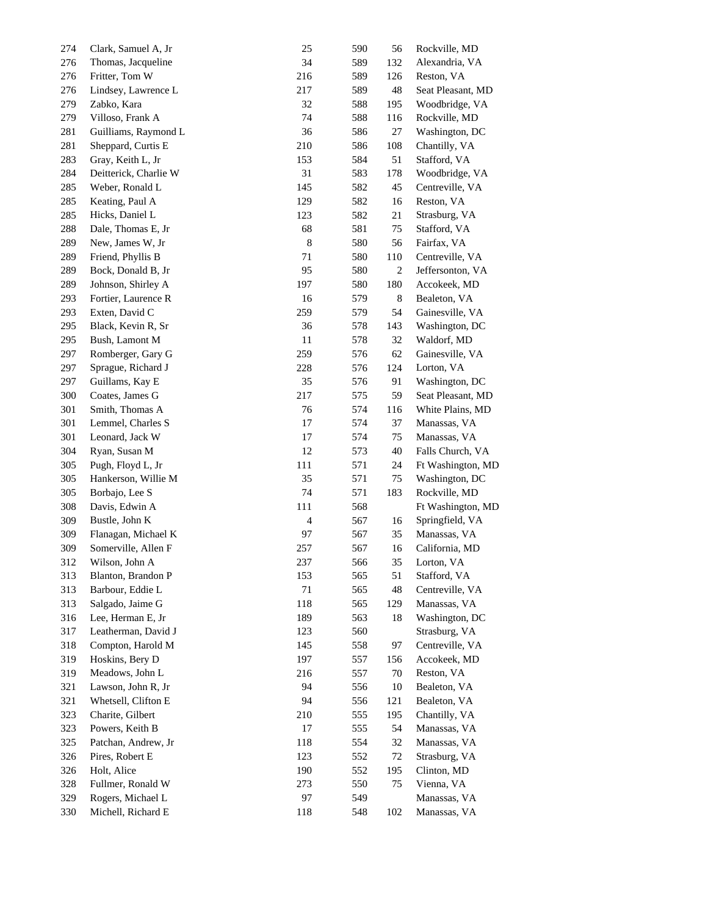| 274 | Clark, Samuel A, Jr   | 25  | 590 | 56             | Rockville, MD     |  |
|-----|-----------------------|-----|-----|----------------|-------------------|--|
| 276 | Thomas, Jacqueline    | 34  | 589 | 132            | Alexandria, VA    |  |
| 276 | Fritter, Tom W        | 216 | 589 | 126            | Reston, VA        |  |
| 276 | Lindsey, Lawrence L   | 217 | 589 | 48             | Seat Pleasant, MD |  |
| 279 | Zabko, Kara           | 32  | 588 | 195            | Woodbridge, VA    |  |
| 279 | Villoso, Frank A      | 74  | 588 | 116            | Rockville, MD     |  |
| 281 | Guilliams, Raymond L  | 36  | 586 | 27             | Washington, DC    |  |
| 281 | Sheppard, Curtis E    | 210 | 586 | 108            | Chantilly, VA     |  |
| 283 | Gray, Keith L, Jr     | 153 | 584 | 51             | Stafford, VA      |  |
| 284 | Deitterick, Charlie W | 31  | 583 | 178            | Woodbridge, VA    |  |
| 285 | Weber, Ronald L       | 145 | 582 | 45             | Centreville, VA   |  |
| 285 | Keating, Paul A       | 129 | 582 | 16             | Reston, VA        |  |
| 285 | Hicks, Daniel L       | 123 | 582 | 21             | Strasburg, VA     |  |
| 288 | Dale, Thomas E, Jr    | 68  | 581 | 75             | Stafford, VA      |  |
| 289 | New, James W, Jr      | 8   | 580 | 56             | Fairfax, VA       |  |
| 289 | Friend, Phyllis B     | 71  | 580 | 110            | Centreville, VA   |  |
| 289 | Bock, Donald B, Jr    | 95  | 580 | $\overline{2}$ | Jeffersonton, VA  |  |
| 289 | Johnson, Shirley A    | 197 | 580 | 180            | Accokeek, MD      |  |
| 293 | Fortier, Laurence R   | 16  | 579 | 8              | Bealeton, VA      |  |
| 293 | Exten, David C        | 259 | 579 | 54             | Gainesville, VA   |  |
| 295 | Black, Kevin R, Sr    | 36  | 578 | 143            | Washington, DC    |  |
| 295 | Bush, Lamont M        | 11  | 578 | 32             | Waldorf, MD       |  |
| 297 | Romberger, Gary G     | 259 | 576 | 62             | Gainesville, VA   |  |
| 297 | Sprague, Richard J    | 228 | 576 | 124            | Lorton, VA        |  |
| 297 | Guillams, Kay E       | 35  | 576 | 91             | Washington, DC    |  |
| 300 | Coates, James G       | 217 | 575 | 59             | Seat Pleasant, MD |  |
| 301 | Smith, Thomas A       | 76  | 574 | 116            | White Plains, MD  |  |
| 301 | Lemmel, Charles S     | 17  | 574 | 37             | Manassas, VA      |  |
| 301 | Leonard, Jack W       | 17  | 574 | 75             | Manassas, VA      |  |
| 304 | Ryan, Susan M         | 12  | 573 | 40             | Falls Church, VA  |  |
| 305 | Pugh, Floyd L, Jr     | 111 | 571 | 24             | Ft Washington, MD |  |
| 305 | Hankerson, Willie M   | 35  | 571 | 75             | Washington, DC    |  |
| 305 | Borbajo, Lee S        | 74  | 571 | 183            | Rockville, MD     |  |
| 308 | Davis, Edwin A        | 111 | 568 |                | Ft Washington, MD |  |
| 309 | Bustle, John K        | 4   | 567 | 16             | Springfield, VA   |  |
| 309 | Flanagan, Michael K   | 97  | 567 | 35             | Manassas, VA      |  |
| 309 | Somerville, Allen F   | 257 | 567 | 16             | California, MD    |  |
| 312 | Wilson, John A        | 237 | 566 | 35             | Lorton, VA        |  |
| 313 | Blanton, Brandon P    | 153 | 565 | 51             | Stafford, VA      |  |
| 313 | Barbour, Eddie L      | 71  | 565 | 48             | Centreville, VA   |  |
| 313 | Salgado, Jaime G      | 118 | 565 | 129            | Manassas, VA      |  |
| 316 | Lee, Herman E, Jr     | 189 | 563 | 18             | Washington, DC    |  |
| 317 | Leatherman, David J   | 123 | 560 |                | Strasburg, VA     |  |
| 318 | Compton, Harold M     | 145 | 558 | 97             | Centreville, VA   |  |
| 319 | Hoskins, Bery D       | 197 | 557 | 156            | Accokeek, MD      |  |
| 319 | Meadows, John L       | 216 | 557 | 70             | Reston, VA        |  |
| 321 | Lawson, John R, Jr    | 94  | 556 | 10             | Bealeton, VA      |  |
| 321 | Whetsell, Clifton E   | 94  | 556 | 121            | Bealeton, VA      |  |
| 323 | Charite, Gilbert      | 210 | 555 | 195            | Chantilly, VA     |  |
| 323 | Powers, Keith B       | 17  | 555 | 54             | Manassas, VA      |  |
| 325 | Patchan, Andrew, Jr   | 118 | 554 | 32             | Manassas, VA      |  |
| 326 | Pires, Robert E       | 123 | 552 | 72             | Strasburg, VA     |  |
| 326 | Holt, Alice           | 190 | 552 | 195            | Clinton, MD       |  |
| 328 | Fullmer, Ronald W     | 273 | 550 | 75             | Vienna, VA        |  |
| 329 | Rogers, Michael L     | 97  | 549 |                | Manassas, VA      |  |
| 330 | Michell, Richard E    | 118 | 548 | 102            | Manassas, VA      |  |
|     |                       |     |     |                |                   |  |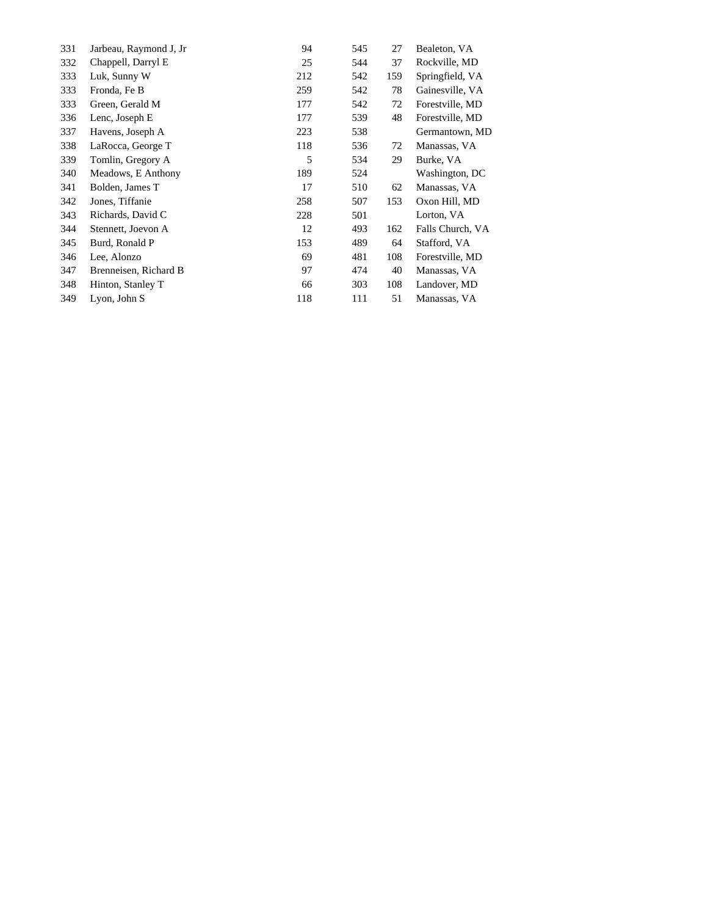| 331 | Jarbeau, Raymond J, Jr | 94  | 545 | 27  | Bealeton, VA     |
|-----|------------------------|-----|-----|-----|------------------|
| 332 | Chappell, Darryl E     | 25  | 544 | 37  | Rockville, MD    |
| 333 | Luk, Sunny W           | 212 | 542 | 159 | Springfield, VA  |
| 333 | Fronda, Fe B           | 259 | 542 | 78  | Gainesville, VA  |
| 333 | Green, Gerald M        | 177 | 542 | 72  | Forestville, MD  |
| 336 | Lenc, Joseph E         | 177 | 539 | 48  | Forestville, MD  |
| 337 | Havens, Joseph A       | 223 | 538 |     | Germantown, MD   |
| 338 | LaRocca, George T      | 118 | 536 | 72  | Manassas, VA     |
| 339 | Tomlin, Gregory A      | 5   | 534 | 29  | Burke, VA        |
| 340 | Meadows, E Anthony     | 189 | 524 |     | Washington, DC   |
| 341 | Bolden, James T        | 17  | 510 | 62  | Manassas, VA     |
| 342 | Jones, Tiffanie        | 258 | 507 | 153 | Oxon Hill, MD    |
| 343 | Richards, David C      | 228 | 501 |     | Lorton, VA       |
| 344 | Stennett, Joevon A     | 12  | 493 | 162 | Falls Church, VA |
| 345 | Burd, Ronald P         | 153 | 489 | 64  | Stafford, VA     |
| 346 | Lee, Alonzo            | 69  | 481 | 108 | Forestville, MD  |
| 347 | Brenneisen, Richard B  | 97  | 474 | 40  | Manassas, VA     |
| 348 | Hinton, Stanley T      | 66  | 303 | 108 | Landover, MD     |
| 349 | Lyon, John S           | 118 | 111 | 51  | Manassas, VA     |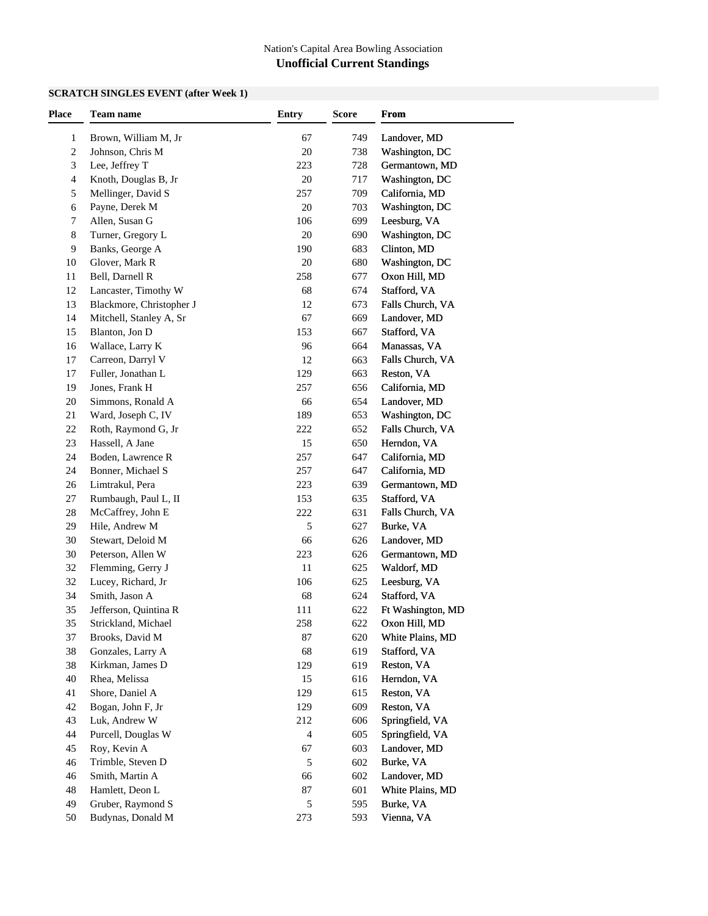### **SCRATCH SINGLES EVENT (after Week 1)**

| <b>Place</b> | Team name                | <b>Entry</b> | <b>Score</b> | From              |
|--------------|--------------------------|--------------|--------------|-------------------|
| 1            | Brown, William M, Jr     | 67           | 749          | Landover, MD      |
| 2            | Johnson, Chris M         | 20           | 738          | Washington, DC    |
| 3            | Lee, Jeffrey T           | 223          | 728          | Germantown, MD    |
| 4            | Knoth, Douglas B, Jr     | 20           | 717          | Washington, DC    |
| 5            | Mellinger, David S       | 257          | 709          | California, MD    |
| 6            | Payne, Derek M           | 20           | 703          | Washington, DC    |
| 7            | Allen, Susan G           | 106          | 699          | Leesburg, VA      |
| 8            | Turner, Gregory L        | 20           | 690          | Washington, DC    |
| 9            | Banks, George A          | 190          | 683          | Clinton, MD       |
| 10           | Glover, Mark R           | 20           | 680          | Washington, DC    |
| 11           | Bell, Darnell R          | 258          | 677          | Oxon Hill, MD     |
| 12           | Lancaster, Timothy W     | 68           | 674          | Stafford, VA      |
| 13           | Blackmore, Christopher J | 12           | 673          | Falls Church, VA  |
| 14           | Mitchell, Stanley A, Sr  | 67           | 669          | Landover, MD      |
| 15           | Blanton, Jon D           | 153          | 667          | Stafford, VA      |
| 16           | Wallace, Larry K         | 96           | 664          | Manassas, VA      |
| 17           | Carreon, Darryl V        | 12           | 663          | Falls Church, VA  |
| 17           | Fuller, Jonathan L       | 129          | 663          | Reston, VA        |
| 19           | Jones, Frank H           | 257          | 656          | California, MD    |
| 20           | Simmons, Ronald A        | 66           | 654          | Landover, MD      |
| 21           | Ward, Joseph C, IV       | 189          | 653          | Washington, DC    |
| 22           | Roth, Raymond G, Jr      | 222          | 652          | Falls Church, VA  |
| 23           | Hassell, A Jane          | 15           | 650          | Herndon, VA       |
| 24           | Boden, Lawrence R        | 257          | 647          | California, MD    |
| 24           | Bonner, Michael S        | 257          | 647          | California, MD    |
| 26           | Limtrakul, Pera          | 223          | 639          | Germantown, MD    |
| 27           | Rumbaugh, Paul L, II     | 153          | 635          | Stafford, VA      |
| 28           | McCaffrey, John E        | 222          | 631          | Falls Church, VA  |
| 29           | Hile, Andrew M           | 5            | 627          | Burke, VA         |
| 30           | Stewart, Deloid M        | 66           | 626          | Landover, MD      |
| 30           | Peterson, Allen W        | 223          | 626          | Germantown, MD    |
| 32           | Flemming, Gerry J        | 11           | 625          | Waldorf, MD       |
| 32           | Lucey, Richard, Jr       | 106          | 625          | Leesburg, VA      |
| 34           | Smith, Jason A           | 68           | 624          | Stafford, VA      |
| 35           | Jefferson, Quintina R    | 111          | 622          | Ft Washington, MD |
| 35           | Strickland, Michael      | 258          | 622          | Oxon Hill, MD     |
| 37           | Brooks, David M          | 87           | 620          | White Plains, MD  |
| 38           | Gonzales, Larry A        | 68           | 619          | Stafford, VA      |
| 38           | Kirkman, James D         | 129          | 619          | Reston, VA        |
| 40           | Rhea, Melissa            | 15           | 616          | Herndon, VA       |
| 41           | Shore, Daniel A          | 129          | 615          | Reston, VA        |
| 42           | Bogan, John F, Jr        | 129          | 609          | Reston, VA        |
|              |                          |              |              | Springfield, VA   |
| 43           | Luk, Andrew W            | 212          | 606          |                   |
| 44           | Purcell, Douglas W       | 4            | 605          | Springfield, VA   |
| 45           | Roy, Kevin A             | 67           | 603          | Landover, MD      |
| 46           | Trimble, Steven D        | 5            | 602          | Burke, VA         |
| 46           | Smith, Martin A          | 66           | 602          | Landover, MD      |
| 48           | Hamlett, Deon L          | 87           | 601          | White Plains, MD  |
| 49           | Gruber, Raymond S        | 5            | 595          | Burke, VA         |
| 50           | Budynas, Donald M        | 273          | 593          | Vienna, VA        |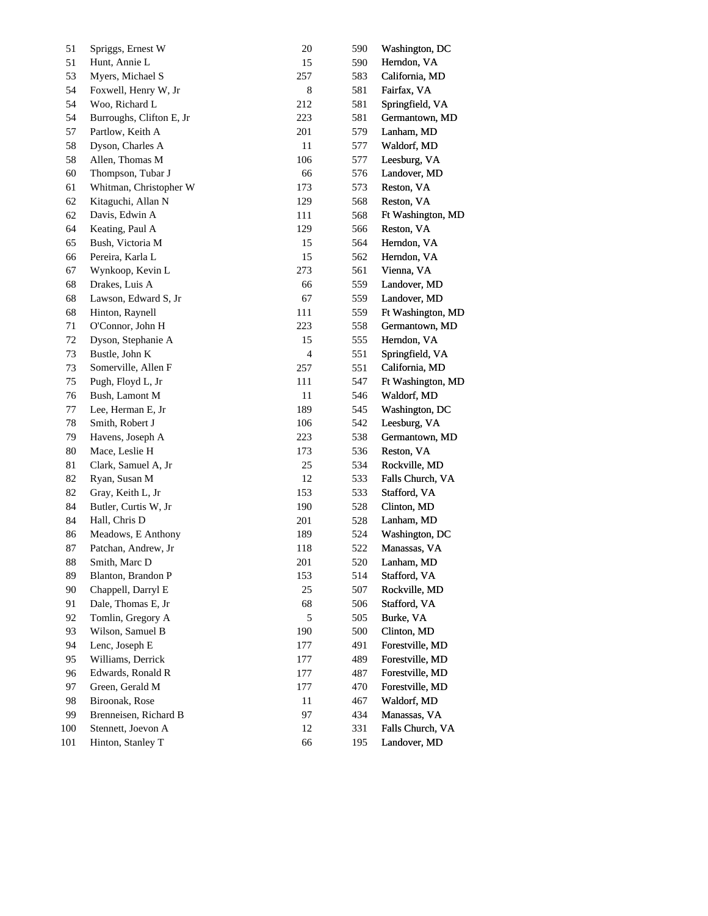| 51  | Spriggs, Ernest W        | $20\,$         | 590 | Washington, DC    |
|-----|--------------------------|----------------|-----|-------------------|
| 51  | Hunt, Annie L            | 15             | 590 | Herndon, VA       |
| 53  | Myers, Michael S         | 257            | 583 | California, MD    |
| 54  | Foxwell, Henry W, Jr     | $\,$ 8 $\,$    | 581 | Fairfax, VA       |
| 54  | Woo, Richard L           | 212            | 581 | Springfield, VA   |
| 54  | Burroughs, Clifton E, Jr | 223            | 581 | Germantown, MD    |
| 57  | Partlow, Keith A         | 201            | 579 | Lanham, MD        |
| 58  | Dyson, Charles A         | 11             | 577 | Waldorf, MD       |
| 58  | Allen, Thomas M          | 106            | 577 | Leesburg, VA      |
| 60  | Thompson, Tubar J        | 66             | 576 | Landover, MD      |
| 61  | Whitman, Christopher W   | 173            | 573 | Reston, VA        |
| 62  | Kitaguchi, Allan N       | 129            | 568 | Reston, VA        |
| 62  | Davis, Edwin A           | 111            | 568 | Ft Washington, MD |
| 64  | Keating, Paul A          | 129            | 566 | Reston, VA        |
| 65  | Bush, Victoria M         | 15             | 564 | Herndon, VA       |
| 66  | Pereira, Karla L         | 15             | 562 | Herndon, VA       |
| 67  | Wynkoop, Kevin L         | 273            | 561 | Vienna, VA        |
| 68  | Drakes, Luis A           | 66             | 559 | Landover, MD      |
| 68  | Lawson, Edward S, Jr     | 67             | 559 | Landover, MD      |
| 68  | Hinton, Raynell          | 111            | 559 | Ft Washington, MD |
| 71  | O'Connor, John H         | 223            | 558 | Germantown, MD    |
| 72  | Dyson, Stephanie A       | 15             | 555 | Herndon, VA       |
| 73  | Bustle, John K           | $\overline{4}$ | 551 | Springfield, VA   |
| 73  | Somerville, Allen F      | 257            | 551 | California, MD    |
| 75  | Pugh, Floyd L, Jr        | 111            | 547 | Ft Washington, MD |
| 76  | Bush, Lamont M           | 11             | 546 | Waldorf, MD       |
| 77  | Lee, Herman E, Jr        | 189            | 545 | Washington, DC    |
| 78  | Smith, Robert J          | 106            | 542 | Leesburg, VA      |
| 79  | Havens, Joseph A         | 223            | 538 | Germantown, MD    |
| 80  | Mace, Leslie H           | 173            | 536 | Reston, VA        |
| 81  | Clark, Samuel A, Jr      | $25\,$         | 534 | Rockville, MD     |
| 82  | Ryan, Susan M            | 12             | 533 | Falls Church, VA  |
| 82  | Gray, Keith L, Jr        | 153            | 533 | Stafford, VA      |
| 84  | Butler, Curtis W, Jr     | 190            | 528 | Clinton, MD       |
| 84  | Hall, Chris D            | 201            | 528 | Lanham, MD        |
| 86  | Meadows, E Anthony       | 189            | 524 | Washington, DC    |
| 87  | Patchan, Andrew, Jr      | 118            | 522 | Manassas, VA      |
| 88  | Smith, Marc D            | $201\,$        | 520 | Lanham, MD        |
| 89  | Blanton, Brandon P       | 153            | 514 | Stafford, VA      |
| 90  | Chappell, Darryl E       | 25             | 507 | Rockville, MD     |
| 91  | Dale, Thomas E, Jr       | 68             | 506 | Stafford, VA      |
| 92  | Tomlin, Gregory A        | 5              | 505 | Burke, VA         |
| 93  | Wilson, Samuel B         | 190            | 500 | Clinton, MD       |
| 94  | Lenc, Joseph E           | 177            | 491 | Forestville, MD   |
| 95  | Williams, Derrick        | 177            | 489 | Forestville, MD   |
| 96  | Edwards, Ronald R        | 177            | 487 | Forestville, MD   |
| 97  | Green, Gerald M          | 177            | 470 | Forestville, MD   |
| 98  | Biroonak, Rose           | 11             | 467 | Waldorf, MD       |
| 99  | Brenneisen, Richard B    | 97             | 434 | Manassas, VA      |
| 100 | Stennett, Joevon A       | 12             | 331 | Falls Church, VA  |
| 101 | Hinton, Stanley T        | 66             | 195 | Landover, MD      |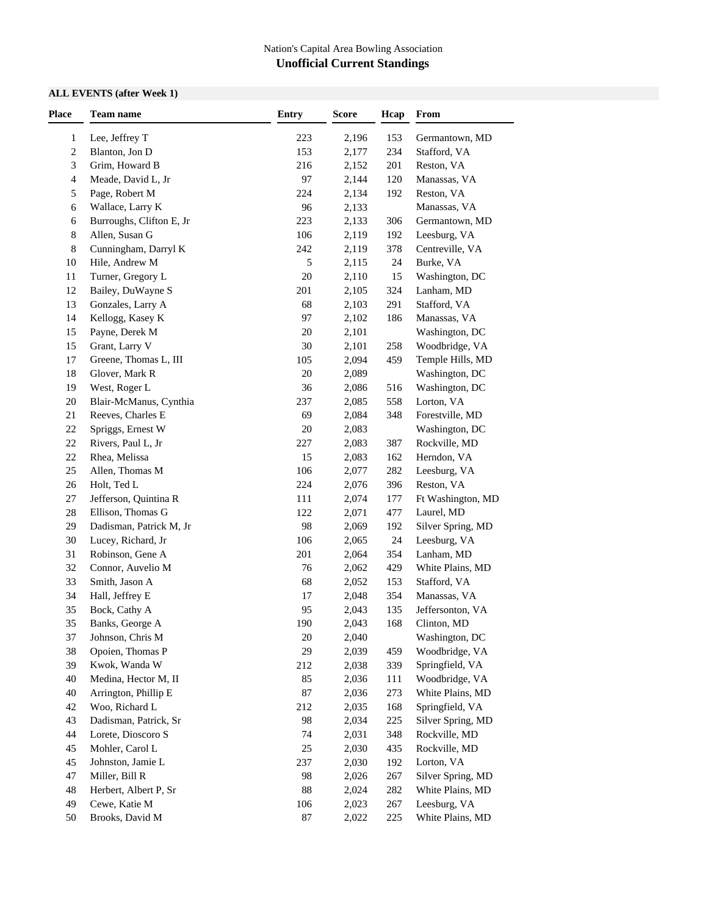### **ALL EVENTS (after Week 1)**

| Place          | <b>Team name</b>                      | <b>Entry</b> | <b>Score</b>   | Hcap       | From                            |
|----------------|---------------------------------------|--------------|----------------|------------|---------------------------------|
| $\mathbf{1}$   | Lee, Jeffrey T                        | 223          | 2,196          | 153        | Germantown, MD                  |
| $\overline{c}$ | Blanton, Jon D                        | 153          | 2,177          | 234        | Stafford, VA                    |
| 3              | Grim, Howard B                        | 216          | 2,152          | 201        | Reston, VA                      |
| 4              | Meade, David L, Jr                    | 97           | 2,144          | 120        | Manassas, VA                    |
| 5              | Page, Robert M                        | 224          | 2,134          | 192        | Reston, VA                      |
| 6              | Wallace, Larry K                      | 96           | 2,133          |            | Manassas, VA                    |
| 6              | Burroughs, Clifton E, Jr              | 223          | 2,133          | 306        | Germantown, MD                  |
| 8              | Allen, Susan G                        | 106          | 2,119          | 192        | Leesburg, VA                    |
| 8              | Cunningham, Darryl K                  | 242          | 2,119          | 378        | Centreville, VA                 |
| 10             | Hile, Andrew M                        | 5            | 2,115          | 24         | Burke, VA                       |
| 11             | Turner, Gregory L                     | 20           | 2,110          | 15         | Washington, DC                  |
| 12             | Bailey, DuWayne S                     | 201          | 2,105          | 324        | Lanham, MD                      |
| 13             | Gonzales, Larry A                     | 68           | 2,103          | 291        | Stafford, VA                    |
| 14             | Kellogg, Kasey K                      | 97           | 2,102          | 186        | Manassas, VA                    |
| 15             | Payne, Derek M                        | 20           | 2,101          |            | Washington, DC                  |
| 15             | Grant, Larry V                        | 30           | 2,101          | 258        | Woodbridge, VA                  |
| 17             | Greene, Thomas L, III                 | 105          | 2,094          | 459        | Temple Hills, MD                |
| 18             | Glover, Mark R                        | 20           | 2,089          |            | Washington, DC                  |
| 19             | West, Roger L                         | 36           | 2,086          | 516        | Washington, DC                  |
| $20\,$         | Blair-McManus, Cynthia                | 237          | 2,085          | 558        | Lorton, VA                      |
| 21             | Reeves, Charles E                     | 69           | 2,084          | 348        | Forestville, MD                 |
| $22\,$         | Spriggs, Ernest W                     | 20           | 2,083          |            | Washington, DC                  |
| 22             | Rivers, Paul L, Jr                    | 227          | 2,083          | 387        | Rockville, MD                   |
| 22             | Rhea, Melissa                         | 15           | 2,083          | 162        | Herndon, VA                     |
| 25             | Allen, Thomas M                       | 106          | 2,077          | 282        | Leesburg, VA                    |
| $26\,$         | Holt, Ted L                           | 224          | 2,076          | 396        | Reston, VA                      |
| 27             | Jefferson, Quintina R                 | 111          | 2,074          | 177        | Ft Washington, MD               |
| 28             | Ellison, Thomas G                     | 122          | 2,071          | 477        | Laurel, MD                      |
| 29             | Dadisman, Patrick M, Jr               | 98           | 2,069          | 192        | Silver Spring, MD               |
| $30\,$         | Lucey, Richard, Jr                    | 106          | 2,065          | 24         | Leesburg, VA                    |
| 31             | Robinson, Gene A                      | 201          | 2,064          | 354        | Lanham, MD                      |
| 32             | Connor, Auvelio M                     | 76           | 2,062          | 429        | White Plains, MD                |
| 33             | Smith, Jason A                        | 68           | 2,052          |            | Stafford, VA                    |
| 34             | Hall, Jeffrey E                       | 17           | 2,048          | 153<br>354 | Manassas, VA                    |
| 35             | Bock, Cathy A                         | 95           | 2,043          | 135        |                                 |
| 35             | Banks, George A                       | 190          |                | 168        | Jeffersonton, VA<br>Clinton, MD |
| 37             | Johnson, Chris M                      | 20           | 2,043<br>2,040 |            | Washington, DC                  |
|                |                                       | 29           |                |            |                                 |
| 38             | Opoien, Thomas P                      |              | 2,039          | 459        | Woodbridge, VA                  |
| 39             | Kwok, Wanda W<br>Medina, Hector M, II | 212          | 2,038          | 339        | Springfield, VA                 |
| 40             |                                       | 85           | 2,036          | 111        | Woodbridge, VA                  |
| 40             | Arrington, Phillip E                  | 87           | 2,036          | 273        | White Plains, MD                |
| $42\,$         | Woo, Richard L                        | 212          | 2,035          | 168        | Springfield, VA                 |
| 43             | Dadisman, Patrick, Sr                 | 98           | 2,034          | 225        | Silver Spring, MD               |
| 44             | Lorete, Dioscoro S                    | 74           | 2,031          | 348        | Rockville, MD                   |
| 45             | Mohler, Carol L                       | $25\,$       | 2,030          | 435        | Rockville, MD                   |
| 45             | Johnston, Jamie L                     | 237          | 2,030          | 192        | Lorton, VA                      |
| 47             | Miller, Bill R                        | 98           | 2,026          | 267        | Silver Spring, MD               |
| 48             | Herbert, Albert P, Sr                 | 88           | 2,024          | 282        | White Plains, MD                |
| 49             | Cewe, Katie M                         | 106          | 2,023          | 267        | Leesburg, VA                    |
| 50             | Brooks, David M                       | $87\,$       | 2,022          | 225        | White Plains, MD                |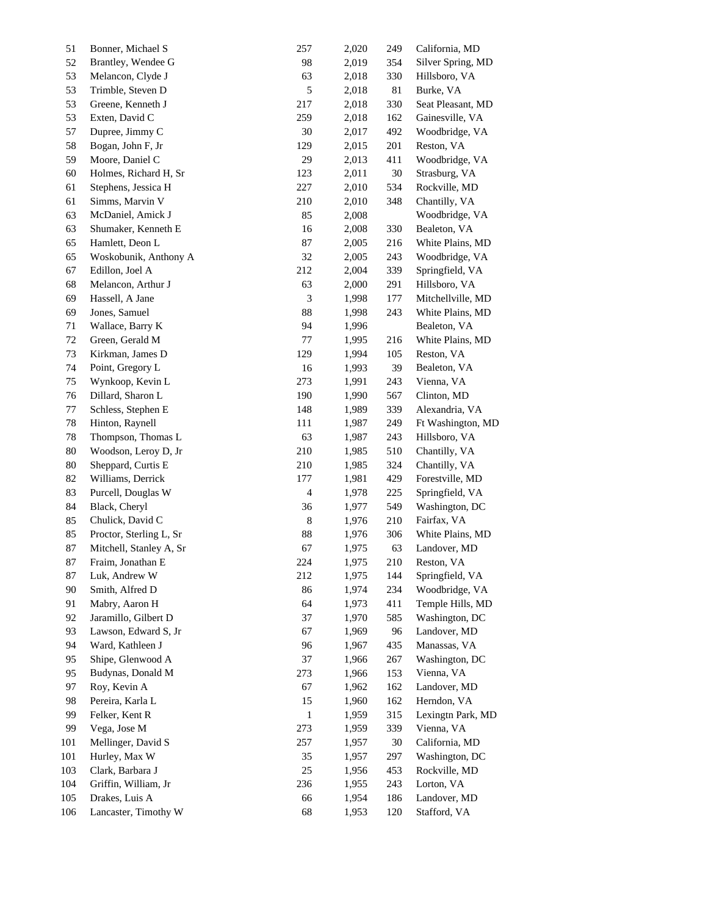| 51     | Bonner, Michael S       | 257                      | 2,020 | 249    | California, MD    |  |
|--------|-------------------------|--------------------------|-------|--------|-------------------|--|
| 52     | Brantley, Wendee G      | 98                       | 2,019 | 354    | Silver Spring, MD |  |
| 53     | Melancon, Clyde J       | 63                       | 2,018 | 330    | Hillsboro, VA     |  |
| 53     | Trimble, Steven D       | 5                        | 2,018 | 81     | Burke, VA         |  |
| 53     | Greene, Kenneth J       | 217                      | 2,018 | 330    | Seat Pleasant, MD |  |
| 53     | Exten, David C          | 259                      | 2,018 | 162    | Gainesville, VA   |  |
| 57     | Dupree, Jimmy C         | 30                       | 2,017 | 492    | Woodbridge, VA    |  |
| 58     | Bogan, John F, Jr       | 129                      | 2,015 | 201    | Reston, VA        |  |
| 59     | Moore, Daniel C         | 29                       | 2,013 | 411    | Woodbridge, VA    |  |
| 60     | Holmes, Richard H, Sr   | 123                      | 2,011 | $30\,$ | Strasburg, VA     |  |
| 61     | Stephens, Jessica H     | 227                      | 2,010 | 534    | Rockville, MD     |  |
| 61     | Simms, Marvin V         | 210                      | 2,010 | 348    | Chantilly, VA     |  |
| 63     | McDaniel, Amick J       | 85                       | 2,008 |        | Woodbridge, VA    |  |
| 63     | Shumaker, Kenneth E     | 16                       | 2,008 | 330    | Bealeton, VA      |  |
| 65     | Hamlett, Deon L         | 87                       | 2,005 | 216    | White Plains, MD  |  |
| 65     | Woskobunik, Anthony A   | 32                       | 2,005 | 243    | Woodbridge, VA    |  |
| 67     | Edillon, Joel A         | 212                      | 2,004 | 339    | Springfield, VA   |  |
| 68     | Melancon, Arthur J      | 63                       | 2,000 | 291    | Hillsboro, VA     |  |
| 69     | Hassell, A Jane         | 3                        | 1,998 | 177    | Mitchellville, MD |  |
| 69     | Jones, Samuel           | 88                       | 1,998 | 243    | White Plains, MD  |  |
| 71     | Wallace, Barry K        | 94                       | 1,996 |        | Bealeton, VA      |  |
| $72\,$ | Green, Gerald M         | $77\,$                   | 1,995 | 216    | White Plains, MD  |  |
| 73     | Kirkman, James D        | 129                      | 1,994 | 105    | Reston, VA        |  |
| 74     | Point, Gregory L        | 16                       | 1,993 | 39     | Bealeton, VA      |  |
| 75     | Wynkoop, Kevin L        | 273                      | 1,991 | 243    | Vienna, VA        |  |
| 76     | Dillard, Sharon L       | 190                      | 1,990 | 567    | Clinton, MD       |  |
| 77     | Schless, Stephen E      | 148                      | 1,989 | 339    | Alexandria, VA    |  |
| 78     | Hinton, Raynell         | 111                      | 1,987 | 249    | Ft Washington, MD |  |
| 78     | Thompson, Thomas L      | 63                       | 1,987 | 243    | Hillsboro, VA     |  |
| 80     | Woodson, Leroy D, Jr    | 210                      | 1,985 | 510    | Chantilly, VA     |  |
| $80\,$ | Sheppard, Curtis E      | 210                      | 1,985 | 324    | Chantilly, VA     |  |
| 82     | Williams, Derrick       | 177                      | 1,981 | 429    | Forestville, MD   |  |
| 83     | Purcell, Douglas W      | $\overline{\mathcal{L}}$ | 1,978 | 225    | Springfield, VA   |  |
| 84     | Black, Cheryl           | 36                       | 1,977 | 549    | Washington, DC    |  |
| 85     | Chulick, David C        | 8                        | 1,976 | 210    | Fairfax, VA       |  |
| 85     | Proctor, Sterling L, Sr | 88                       | 1,976 | 306    | White Plains, MD  |  |
| 87     | Mitchell, Stanley A, Sr | 67                       | 1,975 | 63     | Landover, MD      |  |
| 87     | Fraim, Jonathan E       | 224                      | 1,975 | 210    | Reston, VA        |  |
| 87     | Luk, Andrew W           | 212                      | 1,975 | 144    | Springfield, VA   |  |
| 90     | Smith, Alfred D         | 86                       | 1,974 | 234    | Woodbridge, VA    |  |
| 91     | Mabry, Aaron H          | 64                       | 1,973 | 411    | Temple Hills, MD  |  |
| 92     | Jaramillo, Gilbert D    | 37                       | 1,970 | 585    | Washington, DC    |  |
| 93     | Lawson, Edward S, Jr    | 67                       | 1,969 | 96     | Landover, MD      |  |
| 94     | Ward, Kathleen J        | 96                       | 1,967 | 435    | Manassas, VA      |  |
| 95     | Shipe, Glenwood A       | 37                       | 1,966 | 267    | Washington, DC    |  |
| 95     | Budynas, Donald M       | 273                      | 1,966 | 153    | Vienna, VA        |  |
| 97     | Roy, Kevin A            | 67                       | 1,962 | 162    | Landover, MD      |  |
| 98     | Pereira, Karla L        | 15                       | 1,960 | 162    | Herndon, VA       |  |
| 99     | Felker, Kent R          | 1                        | 1,959 | 315    | Lexingtn Park, MD |  |
| 99     | Vega, Jose M            | 273                      | 1,959 | 339    | Vienna, VA        |  |
| 101    | Mellinger, David S      | 257                      | 1,957 | 30     | California, MD    |  |
| 101    | Hurley, Max W           | 35                       | 1,957 | 297    | Washington, DC    |  |
| 103    | Clark, Barbara J        | $25\,$                   | 1,956 | 453    | Rockville, MD     |  |
| 104    | Griffin, William, Jr    | 236                      | 1,955 | 243    | Lorton, VA        |  |
| 105    | Drakes, Luis A          | 66                       | 1,954 | 186    | Landover, MD      |  |
| 106    | Lancaster, Timothy W    | 68                       | 1,953 | 120    | Stafford, VA      |  |
|        |                         |                          |       |        |                   |  |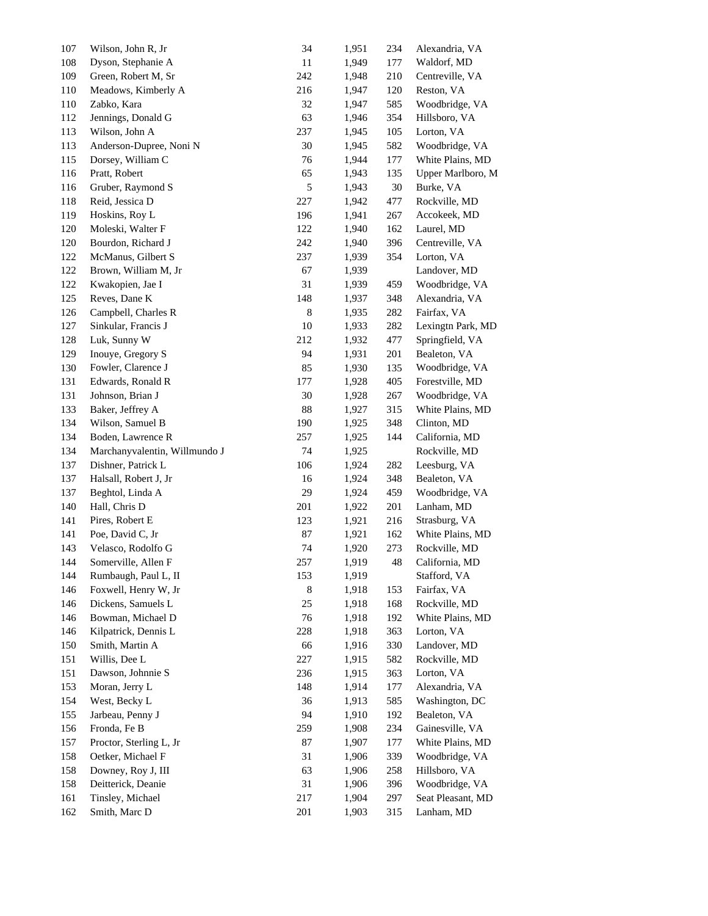| 107        | Wilson, John R, Jr                     | 34          | 1,951          | 234        | Alexandria, VA                      |
|------------|----------------------------------------|-------------|----------------|------------|-------------------------------------|
| 108        | Dyson, Stephanie A                     | 11          | 1,949          | 177        | Waldorf, MD                         |
| 109        | Green, Robert M, Sr                    | 242         | 1,948          | 210        | Centreville, VA                     |
| 110        | Meadows, Kimberly A                    | 216         | 1,947          | 120        | Reston, VA                          |
| 110        | Zabko, Kara                            | 32          | 1,947          | 585        | Woodbridge, VA                      |
| 112        | Jennings, Donald G                     | 63          | 1,946          | 354        | Hillsboro, VA                       |
| 113        | Wilson, John A                         | 237         | 1,945          | 105        | Lorton, VA                          |
| 113        | Anderson-Dupree, Noni N                | 30          | 1,945          | 582        | Woodbridge, VA                      |
| 115        | Dorsey, William C                      | 76          | 1,944          | 177        | White Plains, MD                    |
| 116        | Pratt, Robert                          | 65          | 1,943          | 135        | Upper Marlboro, M                   |
| 116        | Gruber, Raymond S                      | 5           | 1,943          | 30         | Burke, VA                           |
| 118        | Reid, Jessica D                        | 227         | 1,942          | 477        | Rockville, MD                       |
| 119        | Hoskins, Roy L                         | 196         | 1,941          | 267        | Accokeek, MD                        |
| 120        | Moleski, Walter F                      | 122         | 1,940          | 162        | Laurel, MD                          |
| 120        | Bourdon, Richard J                     | 242         | 1,940          | 396        | Centreville, VA                     |
| 122        | McManus, Gilbert S                     | 237         | 1,939          | 354        | Lorton, VA                          |
| 122        | Brown, William M, Jr                   | 67          | 1,939          |            | Landover, MD                        |
| 122        | Kwakopien, Jae I                       | 31          | 1,939          | 459        | Woodbridge, VA                      |
| 125        | Reves, Dane K                          | 148         | 1,937          | 348        | Alexandria, VA                      |
| 126        | Campbell, Charles R                    | $\,$ 8 $\,$ | 1,935          | 282        | Fairfax, VA                         |
| 127        | Sinkular, Francis J                    | 10          | 1,933          | 282        | Lexingth Park, MD                   |
| 128        | Luk, Sunny W                           | 212         | 1,932          | 477        | Springfield, VA                     |
| 129        | Inouye, Gregory S                      | 94          | 1,931          | 201        | Bealeton, VA                        |
| 130        | Fowler, Clarence J                     | 85          | 1,930          | 135        | Woodbridge, VA                      |
| 131        | Edwards, Ronald R                      | 177         | 1,928          | 405        | Forestville, MD                     |
| 131        | Johnson, Brian J                       | 30          | 1,928          | 267        | Woodbridge, VA                      |
| 133        | Baker, Jeffrey A                       | 88          | 1,927          | 315        | White Plains, MD                    |
| 134        | Wilson, Samuel B                       | 190         | 1,925          | 348        | Clinton, MD                         |
| 134        | Boden, Lawrence R                      | 257         | 1,925          | 144        | California, MD                      |
| 134        | Marchanyvalentin, Willmundo J          | 74          | 1,925          |            | Rockville, MD                       |
| 137        | Dishner, Patrick L                     | 106         | 1,924          | 282        | Leesburg, VA                        |
| 137        | Halsall, Robert J, Jr                  | 16          | 1,924          | 348        | Bealeton, VA                        |
| 137        | Beghtol, Linda A                       | 29          | 1,924          | 459        | Woodbridge, VA                      |
| 140        | Hall, Chris D                          | 201         | 1,922          | 201        | Lanham, MD                          |
| 141        | Pires, Robert E                        | 123         | 1,921          | 216        | Strasburg, VA                       |
| 141        | Poe, David C, Jr                       | 87          | 1,921          | 162        | White Plains, MD                    |
| 143        | Velasco, Rodolfo G                     | 74          | 1,920          | 273        | Rockville, MD                       |
| 144        | Somerville, Allen F                    | 257         | 1,919          | 48         | California, MD                      |
| 144        | Rumbaugh, Paul L, II                   | 153         | 1,919          |            | Stafford, VA                        |
| 146        | Foxwell, Henry W, Jr                   | 8           | 1,918          | 153        | Fairfax, VA                         |
| 146        | Dickens, Samuels L                     | 25          | 1,918          | 168        | Rockville, MD                       |
| 146        | Bowman, Michael D                      | 76          | 1,918          | 192        | White Plains, MD                    |
| 146        | Kilpatrick, Dennis L                   | 228         | 1,918          | 363        | Lorton, VA                          |
| 150        | Smith, Martin A                        | 66          | 1,916          | 330        | Landover, MD                        |
| 151        | Willis, Dee L                          | 227         | 1,915          | 582        | Rockville, MD                       |
| 151        | Dawson, Johnnie S                      | 236         | 1,915          | 363        | Lorton, VA                          |
| 153        | Moran, Jerry L                         | 148         | 1,914          | 177        | Alexandria, VA                      |
| 154        | West, Becky L                          | 36          | 1,913          | 585        | Washington, DC                      |
| 155        | Jarbeau, Penny J                       | 94          | 1,910          | 192        | Bealeton, VA                        |
| 156        | Fronda, Fe B                           | 259         | 1,908          | 234        | Gainesville, VA                     |
| 157        | Proctor, Sterling L, Jr                | 87          | 1,907          | 177        | White Plains, MD                    |
| 158        | Oetker, Michael F                      | 31          | 1,906          | 339        | Woodbridge, VA                      |
|            |                                        |             |                |            |                                     |
|            |                                        | 63          |                |            |                                     |
| 158        | Downey, Roy J, III                     |             | 1,906          | 258        | Hillsboro, VA                       |
| 158<br>161 | Deitterick, Deanie<br>Tinsley, Michael | 31<br>217   | 1,906<br>1,904 | 396<br>297 | Woodbridge, VA<br>Seat Pleasant, MD |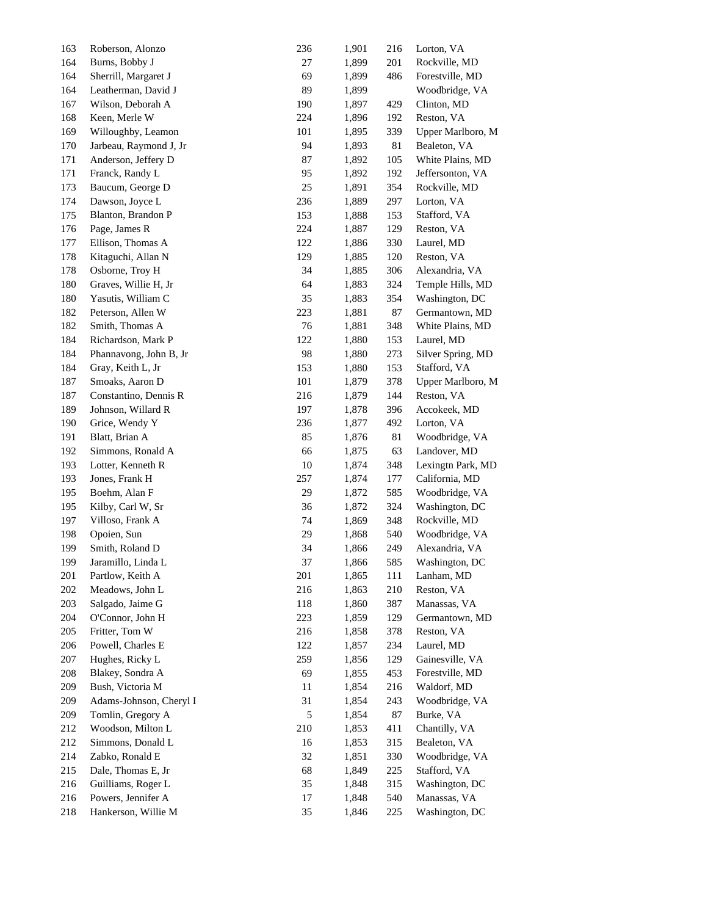| 163 | Roberson, Alonzo        | 236 | 1,901 | 216 | Lorton, VA        |
|-----|-------------------------|-----|-------|-----|-------------------|
| 164 | Burns, Bobby J          | 27  | 1,899 | 201 | Rockville, MD     |
| 164 | Sherrill, Margaret J    | 69  | 1,899 | 486 | Forestville, MD   |
| 164 | Leatherman, David J     | 89  | 1,899 |     | Woodbridge, VA    |
| 167 | Wilson, Deborah A       | 190 | 1,897 | 429 | Clinton, MD       |
| 168 | Keen, Merle W           | 224 | 1,896 | 192 | Reston, VA        |
| 169 | Willoughby, Leamon      | 101 | 1,895 | 339 | Upper Marlboro, M |
| 170 | Jarbeau, Raymond J, Jr  | 94  | 1,893 | 81  | Bealeton, VA      |
| 171 | Anderson, Jeffery D     | 87  | 1,892 | 105 | White Plains, MD  |
| 171 | Franck, Randy L         | 95  | 1,892 | 192 | Jeffersonton, VA  |
| 173 | Baucum, George D        | 25  | 1,891 | 354 | Rockville, MD     |
| 174 | Dawson, Joyce L         | 236 | 1,889 | 297 | Lorton, VA        |
| 175 | Blanton, Brandon P      | 153 | 1,888 | 153 | Stafford, VA      |
| 176 | Page, James R           | 224 | 1,887 | 129 | Reston, VA        |
| 177 | Ellison, Thomas A       | 122 | 1,886 | 330 | Laurel, MD        |
| 178 | Kitaguchi, Allan N      | 129 | 1,885 | 120 | Reston, VA        |
| 178 | Osborne, Troy H         | 34  | 1,885 | 306 | Alexandria, VA    |
| 180 | Graves, Willie H, Jr    | 64  | 1,883 | 324 | Temple Hills, MD  |
| 180 | Yasutis, William C      | 35  | 1,883 | 354 | Washington, DC    |
| 182 | Peterson, Allen W       | 223 | 1,881 | 87  | Germantown, MD    |
| 182 | Smith, Thomas A         | 76  | 1,881 | 348 | White Plains, MD  |
| 184 | Richardson, Mark P      | 122 | 1,880 | 153 | Laurel, MD        |
| 184 | Phannavong, John B, Jr  | 98  | 1,880 | 273 | Silver Spring, MD |
| 184 | Gray, Keith L, Jr       | 153 | 1,880 | 153 | Stafford, VA      |
| 187 | Smoaks, Aaron D         | 101 | 1,879 | 378 | Upper Marlboro, M |
| 187 | Constantino, Dennis R   | 216 | 1,879 | 144 | Reston, VA        |
| 189 | Johnson, Willard R      | 197 | 1,878 | 396 | Accokeek, MD      |
| 190 | Grice, Wendy Y          | 236 | 1,877 | 492 | Lorton, VA        |
| 191 | Blatt, Brian A          | 85  | 1,876 | 81  | Woodbridge, VA    |
| 192 | Simmons, Ronald A       | 66  | 1,875 | 63  | Landover, MD      |
| 193 | Lotter, Kenneth R       | 10  | 1,874 | 348 | Lexingtn Park, MD |
| 193 | Jones, Frank H          | 257 | 1,874 | 177 | California, MD    |
| 195 | Boehm, Alan F           | 29  | 1,872 | 585 | Woodbridge, VA    |
| 195 | Kilby, Carl W, Sr       | 36  | 1,872 | 324 | Washington, DC    |
| 197 | Villoso, Frank A        | 74  | 1,869 | 348 | Rockville, MD     |
| 198 | Opoien, Sun             | 29  | 1,868 | 540 | Woodbridge, VA    |
| 199 | Smith, Roland D         | 34  | 1,866 | 249 | Alexandria, VA    |
| 199 | Jaramillo, Linda L      | 37  | 1,866 | 585 | Washington, DC    |
| 201 | Partlow, Keith A        | 201 | 1,865 | 111 | Lanham, MD        |
| 202 | Meadows, John L         | 216 | 1,863 | 210 | Reston, VA        |
| 203 | Salgado, Jaime G        | 118 | 1,860 | 387 | Manassas, VA      |
| 204 | O'Connor, John H        | 223 | 1,859 | 129 | Germantown, MD    |
| 205 | Fritter, Tom W          | 216 | 1,858 | 378 | Reston, VA        |
| 206 | Powell, Charles E       | 122 | 1,857 | 234 | Laurel, MD        |
| 207 | Hughes, Ricky L         | 259 | 1,856 | 129 | Gainesville, VA   |
| 208 | Blakey, Sondra A        | 69  | 1,855 | 453 | Forestville, MD   |
| 209 | Bush, Victoria M        | 11  | 1,854 | 216 | Waldorf, MD       |
| 209 | Adams-Johnson, Cheryl I | 31  | 1,854 | 243 | Woodbridge, VA    |
| 209 | Tomlin, Gregory A       | 5   | 1,854 | 87  | Burke, VA         |
| 212 | Woodson, Milton L       | 210 | 1,853 | 411 | Chantilly, VA     |
| 212 | Simmons, Donald L       | 16  | 1,853 | 315 | Bealeton, VA      |
| 214 | Zabko, Ronald E         | 32  | 1,851 | 330 | Woodbridge, VA    |
| 215 | Dale, Thomas E, Jr      | 68  | 1,849 | 225 | Stafford, VA      |
| 216 | Guilliams, Roger L      | 35  | 1,848 | 315 | Washington, DC    |
| 216 | Powers, Jennifer A      | 17  | 1,848 | 540 | Manassas, VA      |
| 218 | Hankerson, Willie M     | 35  | 1,846 | 225 | Washington, DC    |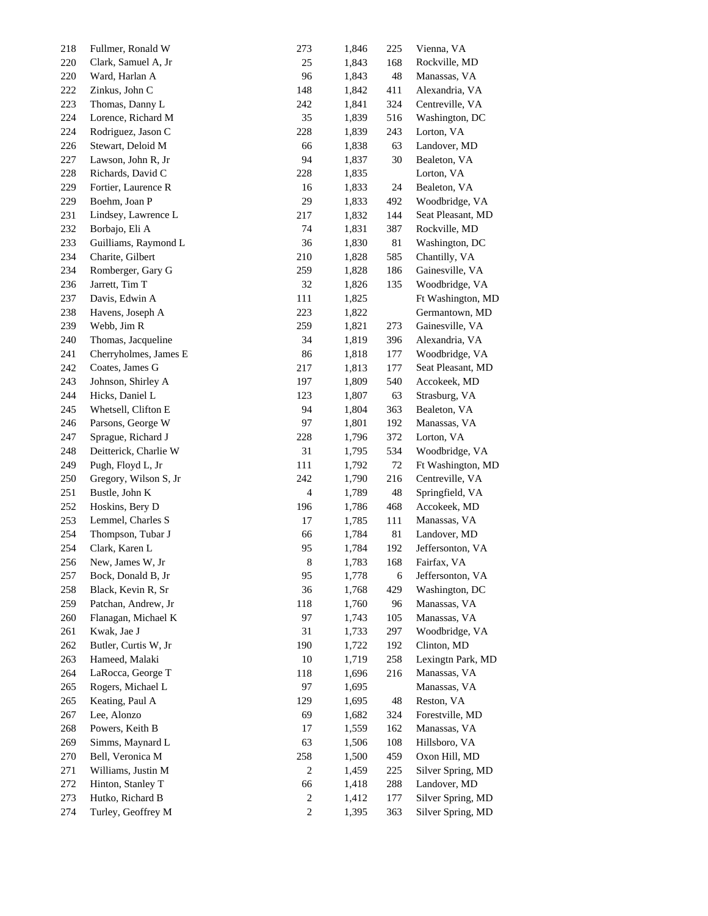| 218 | Fullmer, Ronald W     | 273            | 1,846 | 225 | Vienna, VA        |
|-----|-----------------------|----------------|-------|-----|-------------------|
| 220 | Clark, Samuel A, Jr   | 25             | 1,843 | 168 | Rockville, MD     |
| 220 | Ward, Harlan A        | 96             | 1,843 | 48  | Manassas, VA      |
| 222 | Zinkus, John C        | 148            | 1,842 | 411 | Alexandria, VA    |
| 223 | Thomas, Danny L       | 242            | 1,841 | 324 | Centreville, VA   |
| 224 | Lorence, Richard M    | 35             | 1,839 | 516 | Washington, DC    |
| 224 | Rodriguez, Jason C    | 228            | 1,839 | 243 | Lorton, VA        |
| 226 | Stewart, Deloid M     | 66             | 1,838 | 63  | Landover, MD      |
| 227 | Lawson, John R, Jr    | 94             | 1,837 | 30  | Bealeton, VA      |
| 228 | Richards, David C     | 228            | 1,835 |     | Lorton, VA        |
| 229 | Fortier, Laurence R   | 16             | 1,833 | 24  | Bealeton, VA      |
| 229 | Boehm, Joan P         | 29             | 1,833 | 492 | Woodbridge, VA    |
| 231 | Lindsey, Lawrence L   | 217            | 1,832 | 144 | Seat Pleasant, MD |
| 232 | Borbajo, Eli A        | 74             | 1,831 | 387 | Rockville, MD     |
| 233 | Guilliams, Raymond L  | 36             | 1,830 | 81  | Washington, DC    |
| 234 | Charite, Gilbert      | 210            | 1,828 | 585 | Chantilly, VA     |
| 234 | Romberger, Gary G     | 259            | 1,828 | 186 | Gainesville, VA   |
| 236 | Jarrett, Tim T        | 32             | 1,826 | 135 | Woodbridge, VA    |
| 237 | Davis, Edwin A        | 111            | 1,825 |     | Ft Washington, MD |
| 238 | Havens, Joseph A      | 223            | 1,822 |     | Germantown, MD    |
| 239 | Webb, Jim R           | 259            | 1,821 | 273 | Gainesville, VA   |
| 240 | Thomas, Jacqueline    | 34             | 1,819 | 396 | Alexandria, VA    |
| 241 | Cherryholmes, James E | 86             | 1,818 | 177 | Woodbridge, VA    |
| 242 | Coates, James G       | 217            | 1,813 | 177 | Seat Pleasant, MD |
| 243 | Johnson, Shirley A    | 197            | 1,809 | 540 | Accokeek, MD      |
| 244 | Hicks, Daniel L       | 123            | 1,807 | 63  | Strasburg, VA     |
| 245 | Whetsell, Clifton E   | 94             | 1,804 | 363 | Bealeton, VA      |
| 246 | Parsons, George W     | 97             | 1,801 | 192 | Manassas, VA      |
| 247 | Sprague, Richard J    | 228            | 1,796 | 372 | Lorton, VA        |
| 248 | Deitterick, Charlie W | 31             | 1,795 | 534 | Woodbridge, VA    |
| 249 | Pugh, Floyd L, Jr     | 111            | 1,792 | 72  | Ft Washington, MD |
| 250 | Gregory, Wilson S, Jr | 242            | 1,790 | 216 | Centreville, VA   |
| 251 | Bustle, John K        | 4              | 1,789 | 48  | Springfield, VA   |
| 252 | Hoskins, Bery D       | 196            | 1,786 | 468 | Accokeek, MD      |
| 253 | Lemmel, Charles S     | 17             | 1,785 | 111 | Manassas, VA      |
| 254 | Thompson, Tubar J     | 66             | 1,784 | 81  | Landover, MD      |
| 254 | Clark, Karen L        | 95             | 1,784 | 192 | Jeffersonton, VA  |
| 256 | New, James W, Jr.     | 8              | 1,783 | 168 | Fairfax, VA       |
| 257 | Bock, Donald B, Jr    | 95             | 1,778 | 6   | Jeffersonton, VA  |
| 258 | Black, Kevin R, Sr    | 36             | 1,768 | 429 | Washington, DC    |
| 259 | Patchan, Andrew, Jr   | 118            | 1,760 | 96  | Manassas, VA      |
| 260 | Flanagan, Michael K   | 97             | 1,743 | 105 | Manassas, VA      |
| 261 | Kwak, Jae J           | 31             | 1,733 | 297 | Woodbridge, VA    |
| 262 | Butler, Curtis W, Jr  | 190            | 1,722 | 192 | Clinton, MD       |
| 263 | Hameed, Malaki        | 10             | 1,719 | 258 | Lexingtn Park, MD |
| 264 | LaRocca, George T     | 118            | 1,696 | 216 | Manassas, VA      |
| 265 | Rogers, Michael L     | 97             | 1,695 |     | Manassas, VA      |
| 265 | Keating, Paul A       | 129            | 1,695 | 48  | Reston, VA        |
| 267 | Lee, Alonzo           | 69             | 1,682 | 324 | Forestville, MD   |
| 268 | Powers, Keith B       | 17             | 1,559 | 162 | Manassas, VA      |
| 269 | Simms, Maynard L      | 63             | 1,506 | 108 | Hillsboro, VA     |
| 270 | Bell, Veronica M      | 258            | 1,500 | 459 | Oxon Hill, MD     |
| 271 | Williams, Justin M    | 2              | 1,459 | 225 | Silver Spring, MD |
| 272 | Hinton, Stanley T     | 66             | 1,418 | 288 | Landover, MD      |
| 273 | Hutko, Richard B      | $\overline{c}$ | 1,412 | 177 | Silver Spring, MD |
| 274 | Turley, Geoffrey M    | 2              | 1,395 | 363 | Silver Spring, MD |
|     |                       |                |       |     |                   |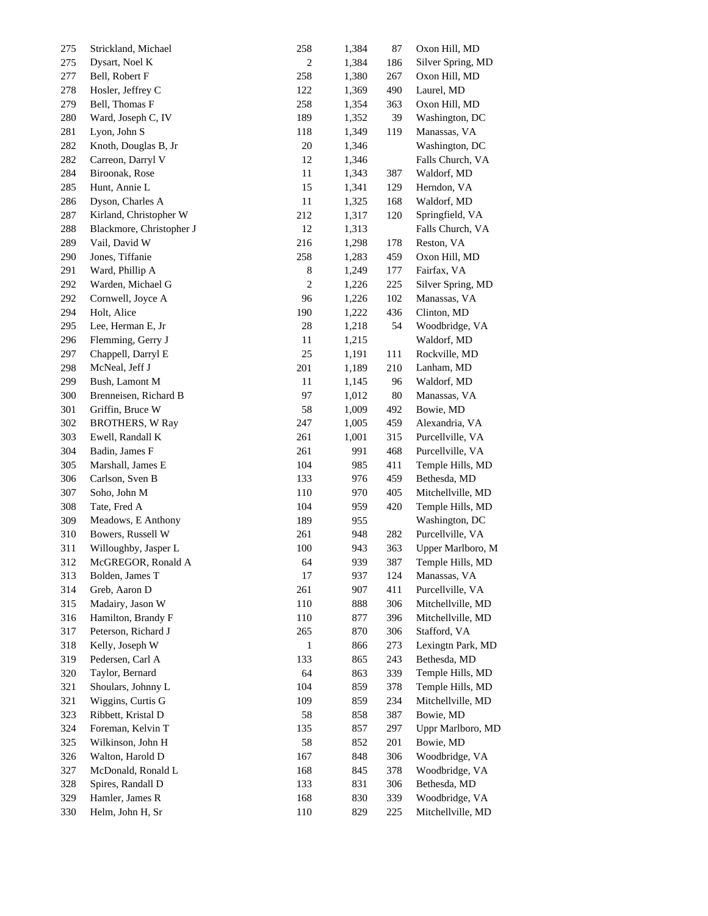| 275 | Strickland, Michael      | 258            | 1,384 | 87  | Oxon Hill, MD     |
|-----|--------------------------|----------------|-------|-----|-------------------|
| 275 | Dysart, Noel K           | $\overline{c}$ | 1,384 | 186 | Silver Spring, MD |
| 277 | Bell, Robert F           | 258            | 1,380 | 267 | Oxon Hill, MD     |
| 278 | Hosler, Jeffrey C        | 122            | 1,369 | 490 | Laurel, MD        |
| 279 | Bell, Thomas F           | 258            | 1,354 | 363 | Oxon Hill, MD     |
| 280 | Ward, Joseph C, IV       | 189            | 1,352 | 39  | Washington, DC    |
| 281 | Lyon, John S             | 118            | 1,349 | 119 | Manassas, VA      |
| 282 | Knoth, Douglas B, Jr     | 20             | 1,346 |     | Washington, DC    |
| 282 | Carreon, Darryl V        | 12             | 1,346 |     | Falls Church, VA  |
| 284 | Biroonak, Rose           | 11             | 1,343 | 387 | Waldorf, MD       |
| 285 | Hunt, Annie L            | 15             | 1,341 | 129 | Herndon, VA       |
| 286 | Dyson, Charles A         | 11             | 1,325 | 168 | Waldorf, MD       |
| 287 | Kirland, Christopher W   | 212            | 1,317 | 120 | Springfield, VA   |
| 288 | Blackmore, Christopher J | 12             | 1,313 |     | Falls Church, VA  |
| 289 | Vail, David W            | 216            | 1,298 | 178 | Reston, VA        |
| 290 | Jones, Tiffanie          | 258            | 1,283 | 459 | Oxon Hill, MD     |
| 291 | Ward, Phillip A          | 8              | 1,249 | 177 | Fairfax, VA       |
| 292 | Warden, Michael G        | $\overline{2}$ | 1,226 | 225 | Silver Spring, MD |
| 292 | Cornwell, Joyce A        | 96             | 1,226 | 102 | Manassas, VA      |
| 294 | Holt, Alice              | 190            | 1,222 | 436 | Clinton, MD       |
| 295 | Lee, Herman E, Jr        | $28\,$         | 1,218 | 54  | Woodbridge, VA    |
| 296 | Flemming, Gerry J        | 11             | 1,215 |     | Waldorf, MD       |
| 297 | Chappell, Darryl E       | 25             | 1,191 | 111 | Rockville, MD     |
| 298 | McNeal, Jeff J           | 201            | 1,189 | 210 | Lanham, MD        |
| 299 | Bush, Lamont M           | 11             | 1,145 | 96  | Waldorf, MD       |
| 300 | Brenneisen, Richard B    | 97             | 1,012 | 80  | Manassas, VA      |
| 301 | Griffin, Bruce W         | 58             | 1,009 | 492 | Bowie, MD         |
| 302 | <b>BROTHERS, W Ray</b>   | 247            | 1,005 | 459 | Alexandria, VA    |
| 303 | Ewell, Randall K         | 261            | 1,001 | 315 | Purcellville, VA  |
| 304 | Badin, James F           | 261            | 991   | 468 | Purcellville, VA  |
| 305 | Marshall, James E        | 104            | 985   | 411 | Temple Hills, MD  |
| 306 | Carlson, Sven B          | 133            | 976   | 459 | Bethesda, MD      |
| 307 | Soho, John M             | 110            | 970   | 405 | Mitchellville, MD |
| 308 | Tate, Fred A             | 104            | 959   | 420 | Temple Hills, MD  |
| 309 | Meadows, E Anthony       | 189            | 955   |     | Washington, DC    |
| 310 | Bowers, Russell W        | 261            | 948   | 282 | Purcellville, VA  |
| 311 | Willoughby, Jasper L     | 100            | 943   | 363 | Upper Marlboro, M |
| 312 | McGREGOR, Ronald A       | 64             | 939   | 387 | Temple Hills, MD  |
| 313 | Bolden, James T          | 17             | 937   | 124 | Manassas, VA      |
| 314 | Greb, Aaron D            | 261            | 907   | 411 | Purcellville, VA  |
| 315 | Madairy, Jason W         | 110            | 888   | 306 | Mitchellville, MD |
| 316 | Hamilton, Brandy F       | 110            | 877   | 396 | Mitchellville, MD |
| 317 | Peterson, Richard J      | 265            | 870   | 306 | Stafford, VA      |
| 318 | Kelly, Joseph W          | 1              | 866   | 273 | Lexingtn Park, MD |
| 319 | Pedersen, Carl A         | 133            | 865   | 243 | Bethesda, MD      |
| 320 | Taylor, Bernard          | 64             | 863   | 339 | Temple Hills, MD  |
| 321 | Shoulars, Johnny L       | 104            | 859   | 378 | Temple Hills, MD  |
| 321 | Wiggins, Curtis G        | 109            | 859   | 234 | Mitchellville, MD |
| 323 | Ribbett, Kristal D       | 58             | 858   | 387 | Bowie, MD         |
| 324 | Foreman, Kelvin T        | 135            | 857   | 297 | Uppr Marlboro, MD |
| 325 | Wilkinson, John H        | 58             | 852   | 201 | Bowie, MD         |
| 326 | Walton, Harold D         | 167            | 848   | 306 | Woodbridge, VA    |
| 327 | McDonald, Ronald L       | 168            | 845   | 378 | Woodbridge, VA    |
| 328 | Spires, Randall D        | 133            | 831   | 306 | Bethesda, MD      |
| 329 | Hamler, James R          | 168            | 830   | 339 | Woodbridge, VA    |
| 330 | Helm, John H, Sr         | 110            | 829   | 225 | Mitchellville, MD |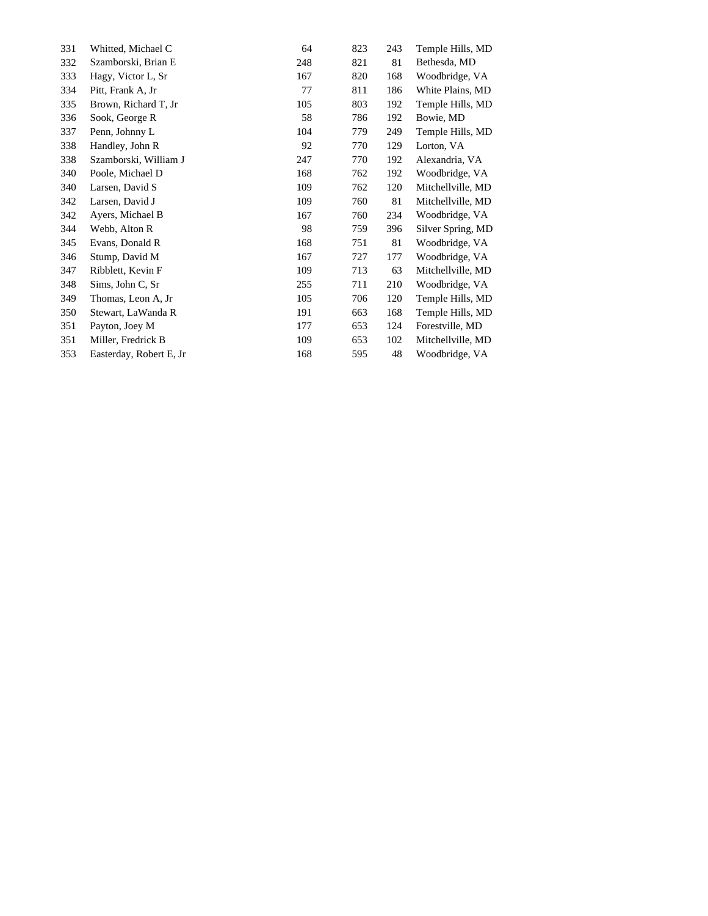| 331 | Whitted, Michael C       | 64  | 823 | 243 | Temple Hills, MD  |
|-----|--------------------------|-----|-----|-----|-------------------|
| 332 | Szamborski, Brian E      | 248 | 821 | 81  | Bethesda, MD      |
| 333 | Hagy, Victor L, Sr       | 167 | 820 | 168 | Woodbridge, VA    |
| 334 | Pitt, Frank A, Jr        | 77  | 811 | 186 | White Plains, MD  |
| 335 | Brown, Richard T, Jr     | 105 | 803 | 192 | Temple Hills, MD  |
| 336 | Sook, George R           | 58  | 786 | 192 | Bowie, MD         |
| 337 | Penn, Johnny L           | 104 | 779 | 249 | Temple Hills, MD  |
| 338 | Handley, John R          | 92  | 770 | 129 | Lorton, VA        |
| 338 | Szamborski, William J    | 247 | 770 | 192 | Alexandria, VA    |
| 340 | Poole, Michael D         | 168 | 762 | 192 | Woodbridge, VA    |
| 340 | Larsen, David S          | 109 | 762 | 120 | Mitchellville, MD |
| 342 | Larsen, David J          | 109 | 760 | 81  | Mitchellville, MD |
| 342 | Ayers, Michael B         | 167 | 760 | 234 | Woodbridge, VA    |
| 344 | Webb, Alton R            | 98  | 759 | 396 | Silver Spring, MD |
| 345 | Evans, Donald R          | 168 | 751 | 81  | Woodbridge, VA    |
| 346 | Stump, David M           | 167 | 727 | 177 | Woodbridge, VA    |
| 347 | Ribblett, Kevin F        | 109 | 713 | 63  | Mitchellville, MD |
| 348 | Sims, John C, Sr         | 255 | 711 | 210 | Woodbridge, VA    |
| 349 | Thomas, Leon A, Jr       | 105 | 706 | 120 | Temple Hills, MD  |
| 350 | Stewart, LaWanda R       | 191 | 663 | 168 | Temple Hills, MD  |
| 351 | Payton, Joey M           | 177 | 653 | 124 | Forestville, MD   |
| 351 | Miller, Fredrick B       | 109 | 653 | 102 | Mitchellville, MD |
| 353 | Easterday, Robert E, Jr. | 168 | 595 | 48  | Woodbridge, VA    |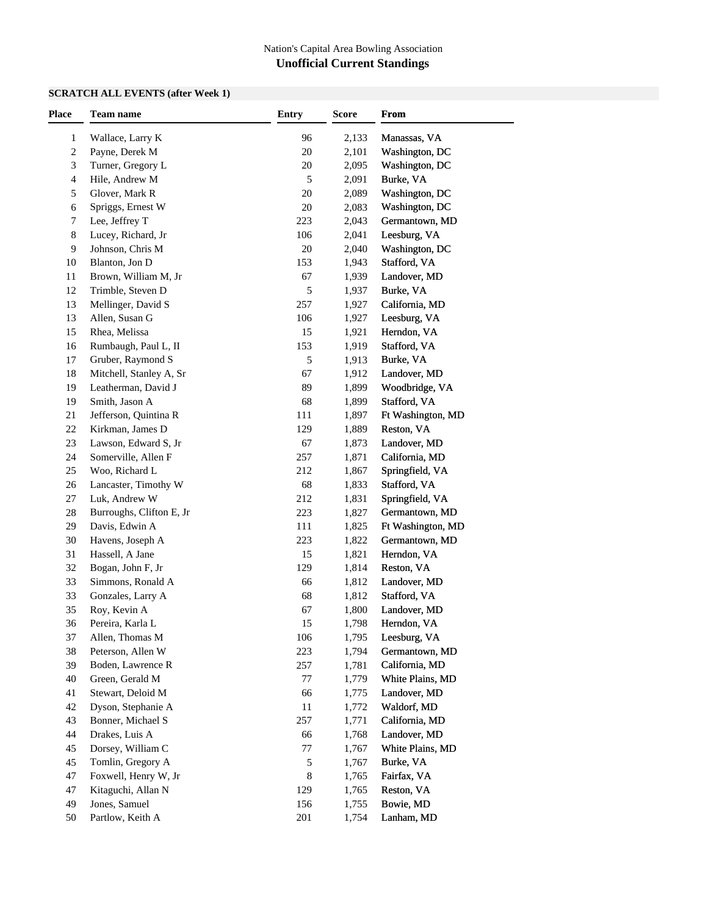### **SCRATCH ALL EVENTS (after Week 1)**

| <b>Place</b> | Team name                | <b>Entry</b> | <b>Score</b> | From              |  |
|--------------|--------------------------|--------------|--------------|-------------------|--|
| 1            | Wallace, Larry K         | 96           | 2,133        | Manassas, VA      |  |
| 2            | Payne, Derek M           | 20           | 2,101        | Washington, DC    |  |
| 3            | Turner, Gregory L        | $20\,$       | 2,095        | Washington, DC    |  |
| 4            | Hile, Andrew M           | 5            | 2,091        | Burke, VA         |  |
| 5            | Glover, Mark R           | 20           | 2,089        | Washington, DC    |  |
| 6            | Spriggs, Ernest W        | 20           | 2,083        | Washington, DC    |  |
| 7            | Lee, Jeffrey T           | 223          | 2,043        | Germantown, MD    |  |
| 8            | Lucey, Richard, Jr       | 106          | 2,041        | Leesburg, VA      |  |
| 9            | Johnson, Chris M         | 20           | 2,040        | Washington, DC    |  |
| 10           | Blanton, Jon D           | 153          | 1,943        | Stafford, VA      |  |
| 11           | Brown, William M, Jr     | 67           | 1,939        | Landover, MD      |  |
| 12           | Trimble, Steven D        | 5            | 1,937        | Burke, VA         |  |
| 13           | Mellinger, David S       | 257          | 1,927        |                   |  |
| 13           | Allen, Susan G           | 106          | 1,927        | California, MD    |  |
|              |                          |              |              | Leesburg, VA      |  |
| 15           | Rhea, Melissa            | 15           | 1,921        | Herndon, VA       |  |
| 16           | Rumbaugh, Paul L, II     | 153          | 1,919        | Stafford, VA      |  |
| 17           | Gruber, Raymond S        | 5            | 1,913        | Burke, VA         |  |
| 18           | Mitchell, Stanley A, Sr  | 67           | 1,912        | Landover, MD      |  |
| 19           | Leatherman, David J      | 89           | 1,899        | Woodbridge, VA    |  |
| 19           | Smith, Jason A           | 68           | 1,899        | Stafford, VA      |  |
| 21           | Jefferson, Quintina R    | 111          | 1,897        | Ft Washington, MD |  |
| 22           | Kirkman, James D         | 129          | 1,889        | Reston, VA        |  |
| 23           | Lawson, Edward S, Jr     | 67           | 1,873        | Landover, MD      |  |
| 24           | Somerville, Allen F      | 257          | 1,871        | California, MD    |  |
| 25           | Woo, Richard L           | 212          | 1,867        | Springfield, VA   |  |
| 26           | Lancaster, Timothy W     | 68           | 1,833        | Stafford, VA      |  |
| $27\,$       | Luk, Andrew W            | 212          | 1,831        | Springfield, VA   |  |
| 28           | Burroughs, Clifton E, Jr | 223          | 1,827        | Germantown, MD    |  |
| 29           | Davis, Edwin A           | 111          | 1,825        | Ft Washington, MD |  |
| 30           | Havens, Joseph A         | 223          | 1,822        | Germantown, MD    |  |
| 31           | Hassell, A Jane          | 15           | 1,821        | Herndon, VA       |  |
| 32           | Bogan, John F, Jr        | 129          | 1,814        | Reston, VA        |  |
| 33           | Simmons, Ronald A        | 66           | 1,812        | Landover, MD      |  |
| 33           | Gonzales, Larry A        | 68           | 1,812        | Stafford, VA      |  |
| 35           | Roy, Kevin A             | 67           | 1,800        | Landover, MD      |  |
| 36           | Pereira, Karla L         | 15           | 1,798        | Herndon, VA       |  |
| 37           | Allen, Thomas M          | 106          | 1,795        | Leesburg, VA      |  |
| 38           | Peterson, Allen W        | 223          | 1,794        | Germantown, MD    |  |
| 39           | Boden, Lawrence R        | 257          | 1,781        | California, MD    |  |
| 40           | Green, Gerald M          | 77           | 1,779        | White Plains, MD  |  |
| 41           | Stewart, Deloid M        | 66           | 1,775        | Landover, MD      |  |
| 42           | Dyson, Stephanie A       | 11           | 1,772        | Waldorf, MD       |  |
| 43           | Bonner, Michael S        | 257          | 1,771        | California, MD    |  |
| 44           | Drakes, Luis A           | 66           | 1,768        | Landover, MD      |  |
| 45           | Dorsey, William C        | 77           | 1,767        | White Plains, MD  |  |
| 45           | Tomlin, Gregory A        | 5            | 1,767        | Burke, VA         |  |
| 47           | Foxwell, Henry W, Jr     | 8            | 1,765        | Fairfax, VA       |  |
| 47           | Kitaguchi, Allan N       | 129          | 1,765        | Reston, VA        |  |
| 49           | Jones, Samuel            | 156          | 1,755        | Bowie, MD         |  |
| 50           | Partlow, Keith A         | 201          | 1,754        | Lanham, MD        |  |